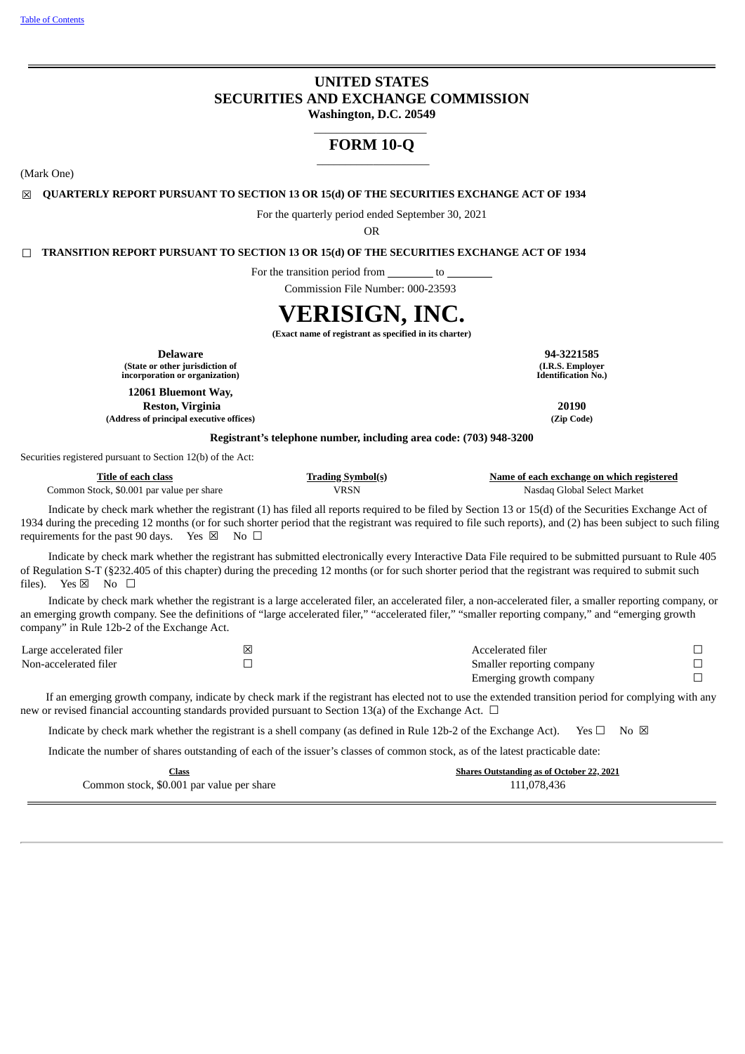# **UNITED STATES SECURITIES AND EXCHANGE COMMISSION Washington, D.C. 20549**

## $\_$ **FORM 10-Q**  $\_$

(Mark One)

## ☒ **QUARTERLY REPORT PURSUANT TO SECTION 13 OR 15(d) OF THE SECURITIES EXCHANGE ACT OF 1934**

For the quarterly period ended September 30, 2021

OR

## ☐ **TRANSITION REPORT PURSUANT TO SECTION 13 OR 15(d) OF THE SECURITIES EXCHANGE ACT OF 1934**

For the transition period from \_\_\_\_\_\_\_\_\_ to

Commission File Number: 000-23593

# **VERISIGN, INC.**

**(Exact name of registrant as specified in its charter)**

**Delaware 94-3221585 (State or other jurisdiction of incorporation or organization)**

**12061 Bluemont Way, Reston, Virginia 20190 (Address of principal executive offices) (Zip Code)**

**(I.R.S. Employer Identification No.)**

**Registrant's telephone number, including area code: (703) 948-3200**

Securities registered pursuant to Section 12(b) of the Act:

| Title of each class                       | <b>Trading Symbol(s)</b> | Name of each exchange on which registered |
|-------------------------------------------|--------------------------|-------------------------------------------|
| Common Stock, \$0.001 par value per share | VRSN                     | Nasdag Global Select Market               |

Indicate by check mark whether the registrant (1) has filed all reports required to be filed by Section 13 or 15(d) of the Securities Exchange Act of 1934 during the preceding 12 months (or for such shorter period that the registrant was required to file such reports), and (2) has been subject to such filing requirements for the past 90 days. Yes  $\boxtimes$  No  $\Box$ 

Indicate by check mark whether the registrant has submitted electronically every Interactive Data File required to be submitted pursuant to Rule 405 of Regulation S-T (§232.405 of this chapter) during the preceding 12 months (or for such shorter period that the registrant was required to submit such files). Yes  $\boxtimes$  No  $\Box$ 

Indicate by check mark whether the registrant is a large accelerated filer, an accelerated filer, a non-accelerated filer, a smaller reporting company, or an emerging growth company. See the definitions of "large accelerated filer," "accelerated filer," "smaller reporting company," and "emerging growth company" in Rule 12b-2 of the Exchange Act.

| Large accelerated filer | 冈 | Accelerated filer         |  |
|-------------------------|---|---------------------------|--|
| Non-accelerated filer   |   | Smaller reporting company |  |
|                         |   | Emerging growth company   |  |

If an emerging growth company, indicate by check mark if the registrant has elected not to use the extended transition period for complying with any new or revised financial accounting standards provided pursuant to Section 13(a) of the Exchange Act.  $\Box$ 

Indicate by check mark whether the registrant is a shell company (as defined in Rule 12b-2 of the Exchange Act). Yes  $\Box$  No  $\boxtimes$ 

Indicate the number of shares outstanding of each of the issuer's classes of common stock, as of the latest practicable date:

<span id="page-0-0"></span>

| Class                                     | <b>Shares Outstanding as of October 22, 2021</b> |
|-------------------------------------------|--------------------------------------------------|
| Common stock, \$0.001 par value per share | 111.078.436                                      |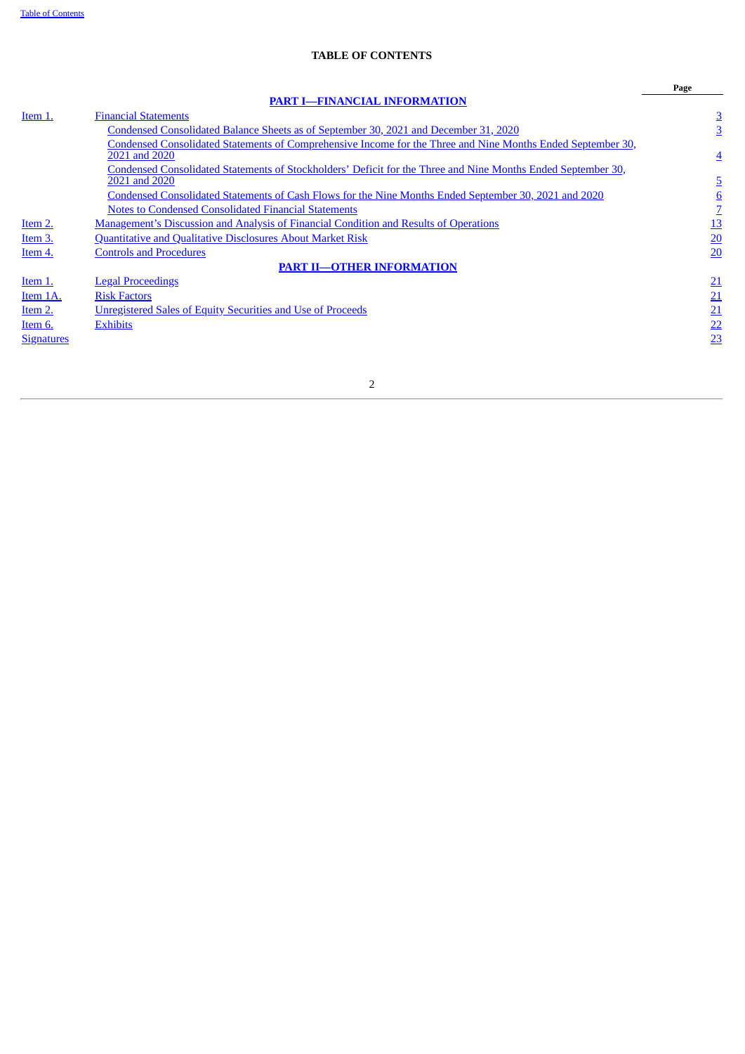# **TABLE OF CONTENTS**

<span id="page-1-0"></span>

|                   |                                                                                                              | Page            |
|-------------------|--------------------------------------------------------------------------------------------------------------|-----------------|
|                   | <b>PART I-FINANCIAL INFORMATION</b>                                                                          |                 |
| Item 1.           | <b>Financial Statements</b>                                                                                  | $\overline{3}$  |
|                   | Condensed Consolidated Balance Sheets as of September 30, 2021 and December 31, 2020                         | $\overline{3}$  |
|                   | Condensed Consolidated Statements of Comprehensive Income for the Three and Nine Months Ended September 30,  |                 |
|                   | 2021 and 2020                                                                                                | $\overline{4}$  |
|                   | Condensed Consolidated Statements of Stockholders' Deficit for the Three and Nine Months Ended September 30, |                 |
|                   | 2021 and 2020                                                                                                | $\overline{5}$  |
|                   | Condensed Consolidated Statements of Cash Flows for the Nine Months Ended September 30, 2021 and 2020        |                 |
|                   | <b>Notes to Condensed Consolidated Financial Statements</b>                                                  | $\frac{6}{7}$   |
| Item 2.           | <b>Management's Discussion and Analysis of Financial Condition and Results of Operations</b>                 | <u>13</u>       |
| <u>Item 3.</u>    | <b>Quantitative and Qualitative Disclosures About Market Risk</b>                                            | 20              |
| Item 4.           | <b>Controls and Procedures</b>                                                                               | 20              |
|                   | <b>PART II-OTHER INFORMATION</b>                                                                             |                 |
| Item 1.           | <b>Legal Proceedings</b>                                                                                     | <u>21</u>       |
| Item 1A.          | <b>Risk Factors</b>                                                                                          | $\overline{21}$ |
| Item 2.           | <b>Unregistered Sales of Equity Securities and Use of Proceeds</b>                                           | 21              |
| Item 6.           | <b>Exhibits</b>                                                                                              | 22              |
| <b>Signatures</b> |                                                                                                              | 23              |
|                   |                                                                                                              |                 |
|                   |                                                                                                              |                 |
|                   |                                                                                                              |                 |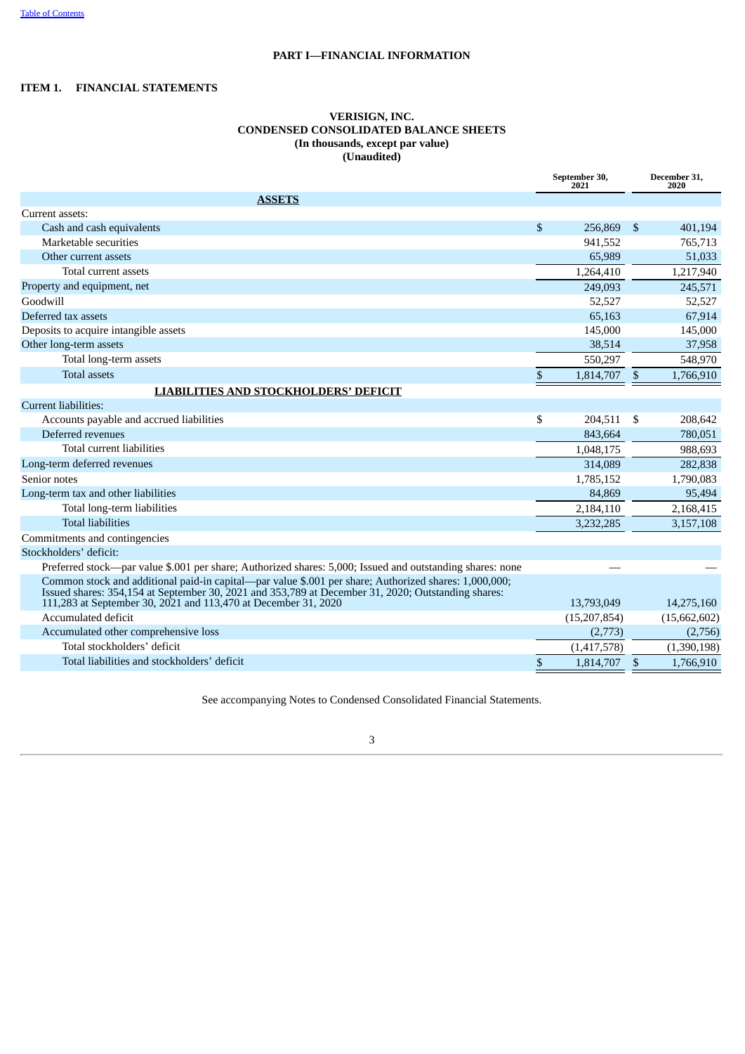## **PART I—FINANCIAL INFORMATION**

## <span id="page-2-0"></span>**ITEM 1. FINANCIAL STATEMENTS**

## **VERISIGN, INC. CONDENSED CONSOLIDATED BALANCE SHEETS (In thousands, except par value) (Unaudited)**

|                                                                                                                                                                                                             |              | September 30,<br>2021 |                           | December 31,<br>2020 |
|-------------------------------------------------------------------------------------------------------------------------------------------------------------------------------------------------------------|--------------|-----------------------|---------------------------|----------------------|
| <b>ASSETS</b>                                                                                                                                                                                               |              |                       |                           |                      |
| Current assets:                                                                                                                                                                                             |              |                       |                           |                      |
| Cash and cash equivalents                                                                                                                                                                                   | \$           | 256,869               | -\$                       | 401,194              |
| Marketable securities                                                                                                                                                                                       |              | 941,552               |                           | 765,713              |
| Other current assets                                                                                                                                                                                        |              | 65,989                |                           | 51,033               |
| Total current assets                                                                                                                                                                                        |              | 1,264,410             |                           | 1,217,940            |
| Property and equipment, net                                                                                                                                                                                 |              | 249,093               |                           | 245,571              |
| Goodwill                                                                                                                                                                                                    |              | 52,527                |                           | 52,527               |
| Deferred tax assets                                                                                                                                                                                         |              | 65,163                |                           | 67,914               |
| Deposits to acquire intangible assets                                                                                                                                                                       |              | 145,000               |                           | 145,000              |
| Other long-term assets                                                                                                                                                                                      |              | 38,514                |                           | 37,958               |
| Total long-term assets                                                                                                                                                                                      |              | 550,297               |                           | 548,970              |
| <b>Total assets</b>                                                                                                                                                                                         | \$           | 1,814,707             | $\boldsymbol{\mathsf{S}}$ | 1,766,910            |
| <b>LIABILITIES AND STOCKHOLDERS' DEFICIT</b>                                                                                                                                                                |              |                       |                           |                      |
| Current liabilities:                                                                                                                                                                                        |              |                       |                           |                      |
| Accounts payable and accrued liabilities                                                                                                                                                                    | \$           | 204,511               | -\$                       | 208,642              |
| Deferred revenues                                                                                                                                                                                           |              | 843,664               |                           | 780,051              |
| Total current liabilities                                                                                                                                                                                   |              | 1,048,175             |                           | 988,693              |
| Long-term deferred revenues                                                                                                                                                                                 |              | 314,089               |                           | 282,838              |
| Senior notes                                                                                                                                                                                                |              | 1,785,152             |                           | 1,790,083            |
| Long-term tax and other liabilities                                                                                                                                                                         |              | 84,869                |                           | 95,494               |
| Total long-term liabilities                                                                                                                                                                                 |              | 2,184,110             |                           | 2,168,415            |
| <b>Total liabilities</b>                                                                                                                                                                                    |              | 3,232,285             |                           | 3,157,108            |
| Commitments and contingencies                                                                                                                                                                               |              |                       |                           |                      |
| Stockholders' deficit:                                                                                                                                                                                      |              |                       |                           |                      |
| Preferred stock—par value \$.001 per share; Authorized shares: 5,000; Issued and outstanding shares: none                                                                                                   |              |                       |                           |                      |
| Common stock and additional paid-in capital—par value \$.001 per share; Authorized shares: 1,000,000;<br>Issued shares: 354,154 at September 30, 2021 and 353,789 at December 31, 2020; Outstanding shares: |              |                       |                           |                      |
| 111,283 at September 30, 2021 and 113,470 at December 31, 2020                                                                                                                                              |              | 13,793,049            |                           | 14,275,160           |
| Accumulated deficit                                                                                                                                                                                         |              | (15,207,854)          |                           | (15,662,602)         |
| Accumulated other comprehensive loss                                                                                                                                                                        |              | (2,773)               |                           | (2,756)              |
| Total stockholders' deficit                                                                                                                                                                                 |              | (1,417,578)           |                           | (1,390,198)          |
| Total liabilities and stockholders' deficit                                                                                                                                                                 | $\mathbb{S}$ | 1,814,707             | $\mathfrak{S}$            | 1,766,910            |

<span id="page-2-1"></span>See accompanying Notes to Condensed Consolidated Financial Statements.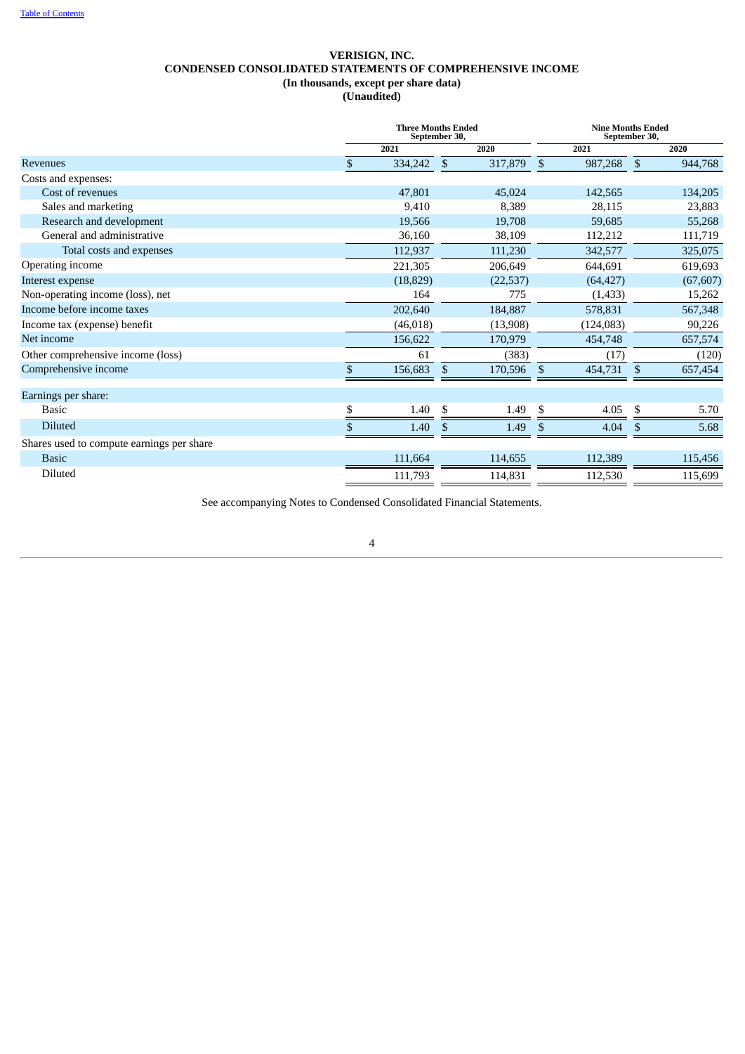## **VERISIGN, INC. CONDENSED CONSOLIDATED STATEMENTS OF COMPREHENSIVE INCOME (In thousands, except per share data) (Unaudited)**

|                                           |                | <b>Three Months Ended</b><br>September 30, |    |           |                | <b>Nine Months Ended</b><br>September 30, |          |           |
|-------------------------------------------|----------------|--------------------------------------------|----|-----------|----------------|-------------------------------------------|----------|-----------|
|                                           |                | 2021                                       |    | 2020      |                | 2021                                      |          | 2020      |
| Revenues                                  | $\mathfrak{S}$ | 334,242                                    | \$ | 317,879   | $\mathfrak{s}$ | 987,268                                   | <b>S</b> | 944,768   |
| Costs and expenses:                       |                |                                            |    |           |                |                                           |          |           |
| Cost of revenues                          |                | 47,801                                     |    | 45,024    |                | 142,565                                   |          | 134,205   |
| Sales and marketing                       |                | 9.410                                      |    | 8,389     |                | 28.115                                    |          | 23,883    |
| Research and development                  |                | 19,566                                     |    | 19,708    |                | 59.685                                    |          | 55,268    |
| General and administrative                |                | 36,160                                     |    | 38,109    |                | 112,212                                   |          | 111,719   |
| Total costs and expenses                  |                | 112,937                                    |    | 111,230   |                | 342,577                                   |          | 325,075   |
| Operating income                          |                | 221,305                                    |    | 206,649   |                | 644,691                                   |          | 619,693   |
| Interest expense                          |                | (18, 829)                                  |    | (22, 537) |                | (64, 427)                                 |          | (67, 607) |
| Non-operating income (loss), net          |                | 164                                        |    | 775       |                | (1, 433)                                  |          | 15,262    |
| Income before income taxes                |                | 202,640                                    |    | 184,887   |                | 578,831                                   |          | 567,348   |
| Income tax (expense) benefit              |                | (46, 018)                                  |    | (13,908)  |                | (124, 083)                                |          | 90,226    |
| Net income                                |                | 156,622                                    |    | 170,979   |                | 454,748                                   |          | 657,574   |
| Other comprehensive income (loss)         |                | 61                                         |    | (383)     |                | (17)                                      |          | (120)     |
| Comprehensive income                      | \$             | 156,683                                    | \$ | 170,596   | \$             | 454,731                                   |          | 657,454   |
| Earnings per share:                       |                |                                            |    |           |                |                                           |          |           |
| <b>Basic</b>                              | \$             | 1.40                                       | \$ | 1.49      | \$             | 4.05                                      | -S       | 5.70      |
| <b>Diluted</b>                            | S              | 1.40                                       | \$ | 1.49      | \$             | 4.04                                      | \$       | 5.68      |
| Shares used to compute earnings per share |                |                                            |    |           |                |                                           |          |           |
| <b>Basic</b>                              |                | 111,664                                    |    | 114,655   |                | 112,389                                   |          | 115,456   |
| Diluted                                   |                | 111,793                                    |    | 114,831   |                | 112,530                                   |          | 115,699   |

<span id="page-3-0"></span>See accompanying Notes to Condensed Consolidated Financial Statements.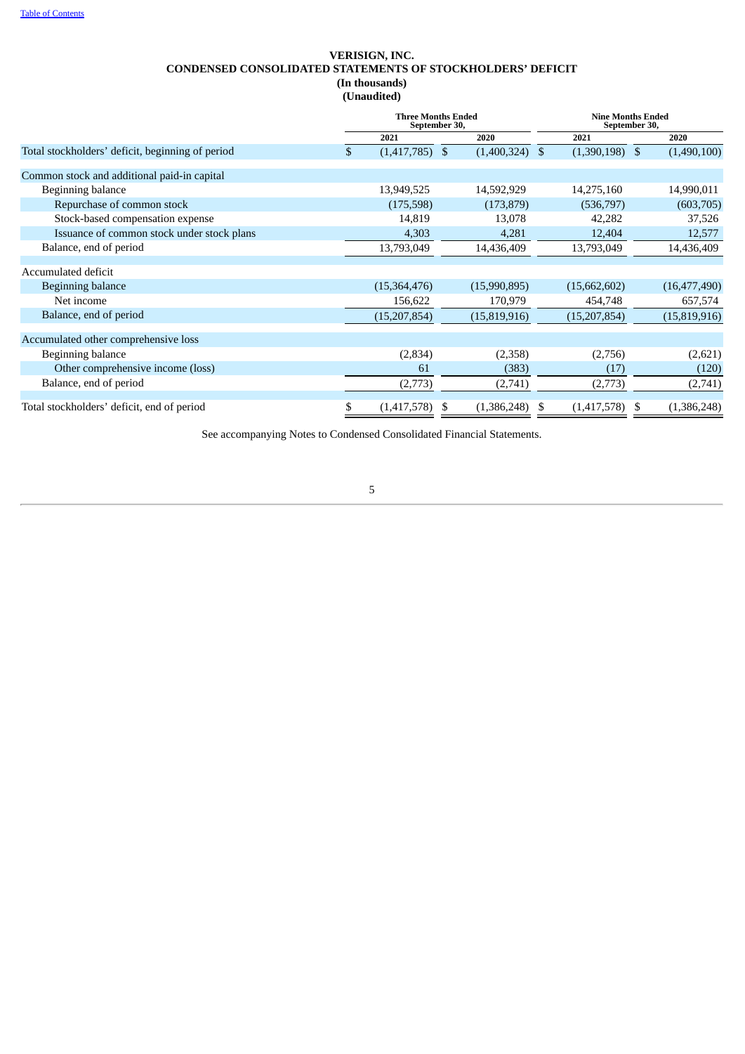## **VERISIGN, INC. CONDENSED CONSOLIDATED STATEMENTS OF STOCKHOLDERS' DEFICIT (In thousands) (Unaudited)**

|                                                  | <b>Three Months Ended</b><br>September 30, |                | <b>Nine Months Ended</b><br>September 30, |              |                        |  |                |
|--------------------------------------------------|--------------------------------------------|----------------|-------------------------------------------|--------------|------------------------|--|----------------|
|                                                  |                                            | 2021           |                                           | 2020         | 2021                   |  | 2020           |
| Total stockholders' deficit, beginning of period | \$                                         | (1, 417, 785)  | $\mathfrak{S}$                            | (1,400,324)  | \$<br>$(1,390,198)$ \$ |  | (1,490,100)    |
| Common stock and additional paid-in capital      |                                            |                |                                           |              |                        |  |                |
| Beginning balance                                |                                            | 13,949,525     |                                           | 14,592,929   | 14,275,160             |  | 14,990,011     |
| Repurchase of common stock                       |                                            | (175,598)      |                                           | (173, 879)   | (536,797)              |  | (603, 705)     |
| Stock-based compensation expense                 |                                            | 14,819         |                                           | 13,078       | 42,282                 |  | 37,526         |
| Issuance of common stock under stock plans       |                                            | 4,303          |                                           | 4,281        | 12,404                 |  | 12,577         |
| Balance, end of period                           |                                            | 13,793,049     |                                           | 14,436,409   | 13,793,049             |  | 14,436,409     |
| Accumulated deficit                              |                                            |                |                                           |              |                        |  |                |
| Beginning balance                                |                                            | (15,364,476)   |                                           | (15,990,895) | (15,662,602)           |  | (16, 477, 490) |
| Net income                                       |                                            | 156,622        |                                           | 170,979      | 454,748                |  | 657,574        |
| Balance, end of period                           |                                            | (15, 207, 854) |                                           | (15,819,916) | (15, 207, 854)         |  | (15,819,916)   |
| Accumulated other comprehensive loss             |                                            |                |                                           |              |                        |  |                |
| Beginning balance                                |                                            | (2,834)        |                                           | (2,358)      | (2,756)                |  | (2,621)        |
| Other comprehensive income (loss)                |                                            | 61             |                                           | (383)        | (17)                   |  | (120)          |
| Balance, end of period                           |                                            | (2,773)        |                                           | (2,741)      | (2,773)                |  | (2,741)        |
| Total stockholders' deficit, end of period       | \$                                         | (1,417,578)    | S                                         | (1,386,248)  | \$<br>$(1,417,578)$ \$ |  | (1,386,248)    |

<span id="page-4-0"></span>See accompanying Notes to Condensed Consolidated Financial Statements.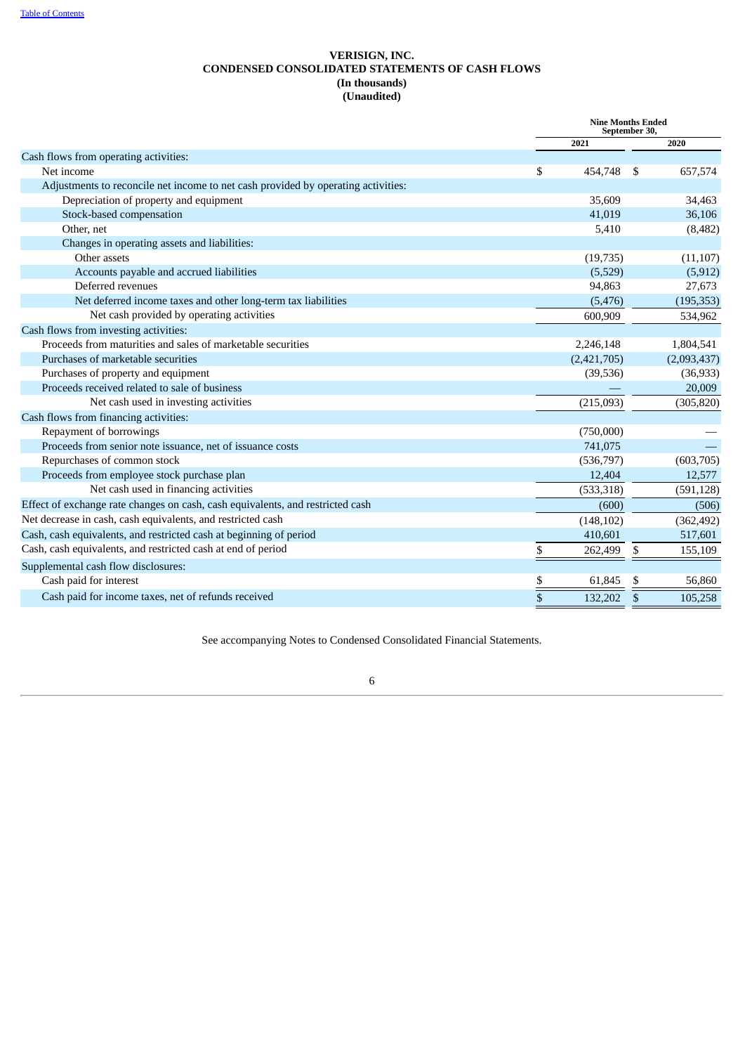## **VERISIGN, INC. CONDENSED CONSOLIDATED STATEMENTS OF CASH FLOWS (In thousands) (Unaudited)**

|                                                                                   | <b>Nine Months Ended</b><br>September 30, |             |      |             |
|-----------------------------------------------------------------------------------|-------------------------------------------|-------------|------|-------------|
|                                                                                   |                                           | 2021        |      | 2020        |
| Cash flows from operating activities:                                             |                                           |             |      |             |
| Net income                                                                        | \$                                        | 454,748     | - \$ | 657,574     |
| Adjustments to reconcile net income to net cash provided by operating activities: |                                           |             |      |             |
| Depreciation of property and equipment                                            |                                           | 35,609      |      | 34,463      |
| Stock-based compensation                                                          |                                           | 41.019      |      | 36,106      |
| Other, net                                                                        |                                           | 5,410       |      | (8,482)     |
| Changes in operating assets and liabilities:                                      |                                           |             |      |             |
| Other assets                                                                      |                                           | (19,735)    |      | (11, 107)   |
| Accounts payable and accrued liabilities                                          |                                           | (5,529)     |      | (5, 912)    |
| Deferred revenues                                                                 |                                           | 94,863      |      | 27,673      |
| Net deferred income taxes and other long-term tax liabilities                     |                                           | (5, 476)    |      | (195, 353)  |
| Net cash provided by operating activities                                         |                                           | 600,909     |      | 534,962     |
| Cash flows from investing activities:                                             |                                           |             |      |             |
| Proceeds from maturities and sales of marketable securities                       |                                           | 2,246,148   |      | 1,804,541   |
| Purchases of marketable securities                                                |                                           | (2,421,705) |      | (2,093,437) |
| Purchases of property and equipment                                               |                                           | (39, 536)   |      | (36, 933)   |
| Proceeds received related to sale of business                                     |                                           |             |      | 20,009      |
| Net cash used in investing activities                                             |                                           | (215,093)   |      | (305, 820)  |
| Cash flows from financing activities:                                             |                                           |             |      |             |
| Repayment of borrowings                                                           |                                           | (750,000)   |      |             |
| Proceeds from senior note issuance, net of issuance costs                         |                                           | 741,075     |      |             |
| Repurchases of common stock                                                       |                                           | (536,797)   |      | (603, 705)  |
| Proceeds from employee stock purchase plan                                        |                                           | 12,404      |      | 12,577      |
| Net cash used in financing activities                                             |                                           | (533, 318)  |      | (591, 128)  |
| Effect of exchange rate changes on cash, cash equivalents, and restricted cash    |                                           | (600)       |      | (506)       |
| Net decrease in cash, cash equivalents, and restricted cash                       |                                           | (148, 102)  |      | (362, 492)  |
| Cash, cash equivalents, and restricted cash at beginning of period                |                                           | 410,601     |      | 517,601     |
| Cash, cash equivalents, and restricted cash at end of period                      | \$                                        | 262,499     | \$   | 155,109     |
| Supplemental cash flow disclosures:                                               |                                           |             |      |             |
| Cash paid for interest                                                            | \$                                        | 61,845      | \$   | 56,860      |
| Cash paid for income taxes, net of refunds received                               | \$                                        | 132,202     | \$   | 105,258     |

<span id="page-5-0"></span>See accompanying Notes to Condensed Consolidated Financial Statements.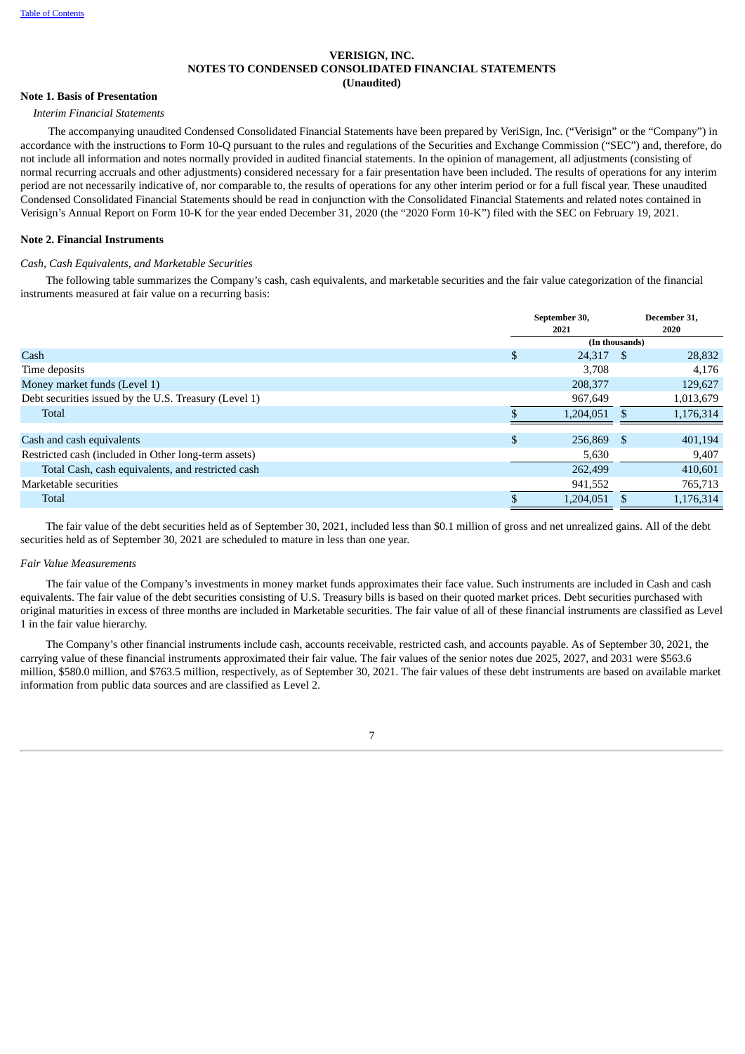## **VERISIGN, INC. NOTES TO CONDENSED CONSOLIDATED FINANCIAL STATEMENTS (Unaudited)**

## **Note 1. Basis of Presentation**

#### *Interim Financial Statements*

The accompanying unaudited Condensed Consolidated Financial Statements have been prepared by VeriSign, Inc. ("Verisign" or the "Company") in accordance with the instructions to Form 10-Q pursuant to the rules and regulations of the Securities and Exchange Commission ("SEC") and, therefore, do not include all information and notes normally provided in audited financial statements. In the opinion of management, all adjustments (consisting of normal recurring accruals and other adjustments) considered necessary for a fair presentation have been included. The results of operations for any interim period are not necessarily indicative of, nor comparable to, the results of operations for any other interim period or for a full fiscal year. These unaudited Condensed Consolidated Financial Statements should be read in conjunction with the Consolidated Financial Statements and related notes contained in Verisign's Annual Report on Form 10-K for the year ended December 31, 2020 (the "2020 Form 10-K") filed with the SEC on February 19, 2021.

## **Note 2. Financial Instruments**

#### *Cash, Cash Equivalents, and Marketable Securities*

The following table summarizes the Company's cash, cash equivalents, and marketable securities and the fair value categorization of the financial instruments measured at fair value on a recurring basis:

| (In thousands)<br>Cash<br>24,317<br>28,832<br>\$.<br>- \$<br>Time deposits<br>4,176<br>3.708<br>Money market funds (Level 1)<br>129,627<br>208,377<br>Debt securities issued by the U.S. Treasury (Level 1)<br>967,649<br>1,013,679<br>Total<br>1,176,314<br>1,204,051<br>\$<br>Cash and cash equivalents<br>256,869<br>401,194<br>- S<br>Restricted cash (included in Other long-term assets)<br>9,407<br>5,630<br>Total Cash, cash equivalents, and restricted cash<br>262,499<br>410,601<br>765,713<br>Marketable securities<br>941,552<br>Total<br>1,176,314<br>1,204,051 | September 30,<br>2021 |  | December 31,<br>2020 |
|-------------------------------------------------------------------------------------------------------------------------------------------------------------------------------------------------------------------------------------------------------------------------------------------------------------------------------------------------------------------------------------------------------------------------------------------------------------------------------------------------------------------------------------------------------------------------------|-----------------------|--|----------------------|
|                                                                                                                                                                                                                                                                                                                                                                                                                                                                                                                                                                               |                       |  |                      |
|                                                                                                                                                                                                                                                                                                                                                                                                                                                                                                                                                                               |                       |  |                      |
|                                                                                                                                                                                                                                                                                                                                                                                                                                                                                                                                                                               |                       |  |                      |
|                                                                                                                                                                                                                                                                                                                                                                                                                                                                                                                                                                               |                       |  |                      |
|                                                                                                                                                                                                                                                                                                                                                                                                                                                                                                                                                                               |                       |  |                      |
|                                                                                                                                                                                                                                                                                                                                                                                                                                                                                                                                                                               |                       |  |                      |
|                                                                                                                                                                                                                                                                                                                                                                                                                                                                                                                                                                               |                       |  |                      |
|                                                                                                                                                                                                                                                                                                                                                                                                                                                                                                                                                                               |                       |  |                      |
|                                                                                                                                                                                                                                                                                                                                                                                                                                                                                                                                                                               |                       |  |                      |
|                                                                                                                                                                                                                                                                                                                                                                                                                                                                                                                                                                               |                       |  |                      |
|                                                                                                                                                                                                                                                                                                                                                                                                                                                                                                                                                                               |                       |  |                      |
|                                                                                                                                                                                                                                                                                                                                                                                                                                                                                                                                                                               |                       |  |                      |

The fair value of the debt securities held as of September 30, 2021, included less than \$0.1 million of gross and net unrealized gains. All of the debt securities held as of September 30, 2021 are scheduled to mature in less than one year.

#### *Fair Value Measurements*

The fair value of the Company's investments in money market funds approximates their face value. Such instruments are included in Cash and cash equivalents. The fair value of the debt securities consisting of U.S. Treasury bills is based on their quoted market prices. Debt securities purchased with original maturities in excess of three months are included in Marketable securities. The fair value of all of these financial instruments are classified as Level 1 in the fair value hierarchy.

The Company's other financial instruments include cash, accounts receivable, restricted cash, and accounts payable. As of September 30, 2021, the carrying value of these financial instruments approximated their fair value. The fair values of the senior notes due 2025, 2027, and 2031 were \$563.6 million, \$580.0 million, and \$763.5 million, respectively, as of September 30, 2021. The fair values of these debt instruments are based on available market information from public data sources and are classified as Level 2.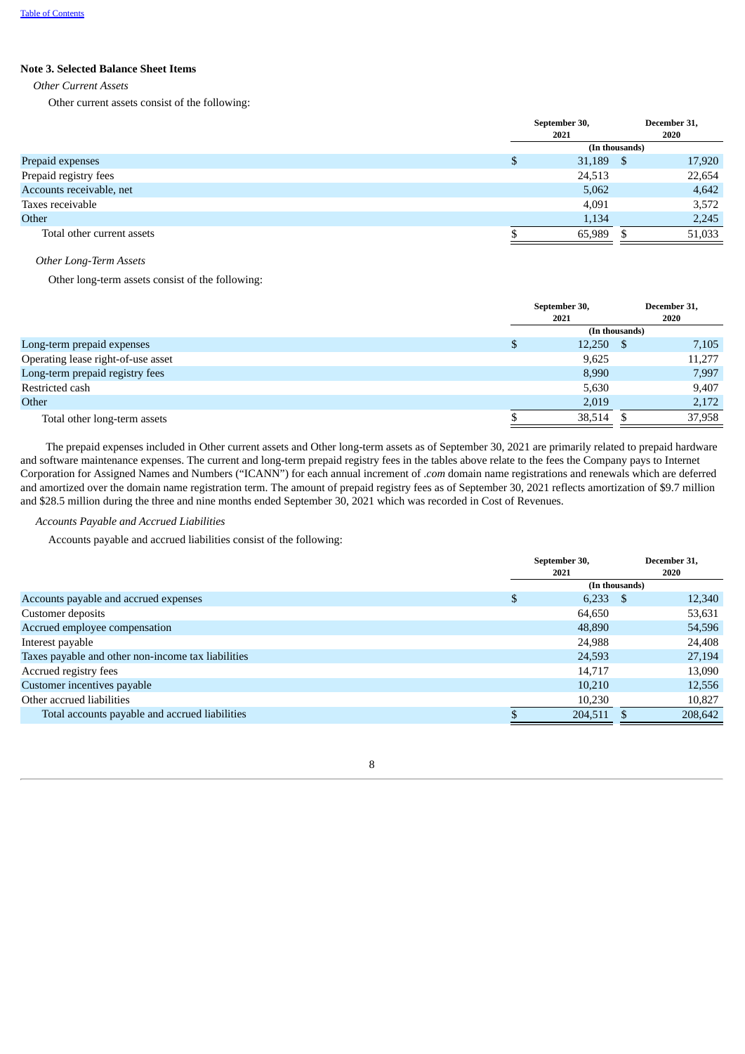## **Note 3. Selected Balance Sheet Items**

*Other Current Assets*

Other current assets consist of the following:

|                            |    | September 30,<br>2021 |     | December 31, |
|----------------------------|----|-----------------------|-----|--------------|
|                            |    |                       |     | 2020         |
|                            |    | (In thousands)        |     |              |
| Prepaid expenses           | \$ | 31,189                | - S | 17,920       |
| Prepaid registry fees      |    | 24,513                |     | 22,654       |
| Accounts receivable, net   |    | 5,062                 |     | 4,642        |
| Taxes receivable           |    | 4,091                 |     | 3,572        |
| Other                      |    | 1,134                 |     | 2,245        |
| Total other current assets |    | 65,989                |     | 51,033       |
|                            |    |                       |     |              |

*Other Long-Term Assets*

Other long-term assets consist of the following:

|                                    |    | September 30,<br>2021 |                | December 31, |
|------------------------------------|----|-----------------------|----------------|--------------|
|                                    |    |                       |                | 2020         |
|                                    |    |                       | (In thousands) |              |
| Long-term prepaid expenses         | \$ | 12,250                | - S            | 7,105        |
| Operating lease right-of-use asset |    | 9,625                 |                | 11,277       |
| Long-term prepaid registry fees    |    | 8,990                 |                | 7,997        |
| Restricted cash                    |    | 5,630                 |                | 9,407        |
| Other                              |    | 2,019                 |                | 2.172        |
| Total other long-term assets       |    | 38,514                |                | 37,958       |

The prepaid expenses included in Other current assets and Other long-term assets as of September 30, 2021 are primarily related to prepaid hardware and software maintenance expenses. The current and long-term prepaid registry fees in the tables above relate to the fees the Company pays to Internet Corporation for Assigned Names and Numbers ("ICANN") for each annual increment of .*com* domain name registrations and renewals which are deferred and amortized over the domain name registration term. The amount of prepaid registry fees as of September 30, 2021 reflects amortization of \$9.7 million and \$28.5 million during the three and nine months ended September 30, 2021 which was recorded in Cost of Revenues.

## *Accounts Payable and Accrued Liabilities*

Accounts payable and accrued liabilities consist of the following:

|                                                    | September 30,<br>2021 |      | December 31.<br>2020 |
|----------------------------------------------------|-----------------------|------|----------------------|
|                                                    | (In thousands)        |      |                      |
| Accounts payable and accrued expenses              | \$<br>6,233           | - \$ | 12,340               |
| Customer deposits                                  | 64,650                |      | 53,631               |
| Accrued employee compensation                      | 48,890                |      | 54,596               |
| Interest payable                                   | 24,988                |      | 24,408               |
| Taxes payable and other non-income tax liabilities | 24,593                |      | 27,194               |
| Accrued registry fees                              | 14.717                |      | 13,090               |
| Customer incentives payable                        | 10,210                |      | 12,556               |
| Other accrued liabilities                          | 10,230                |      | 10,827               |
| Total accounts payable and accrued liabilities     | 204,511               |      | 208,642              |
|                                                    |                       |      |                      |

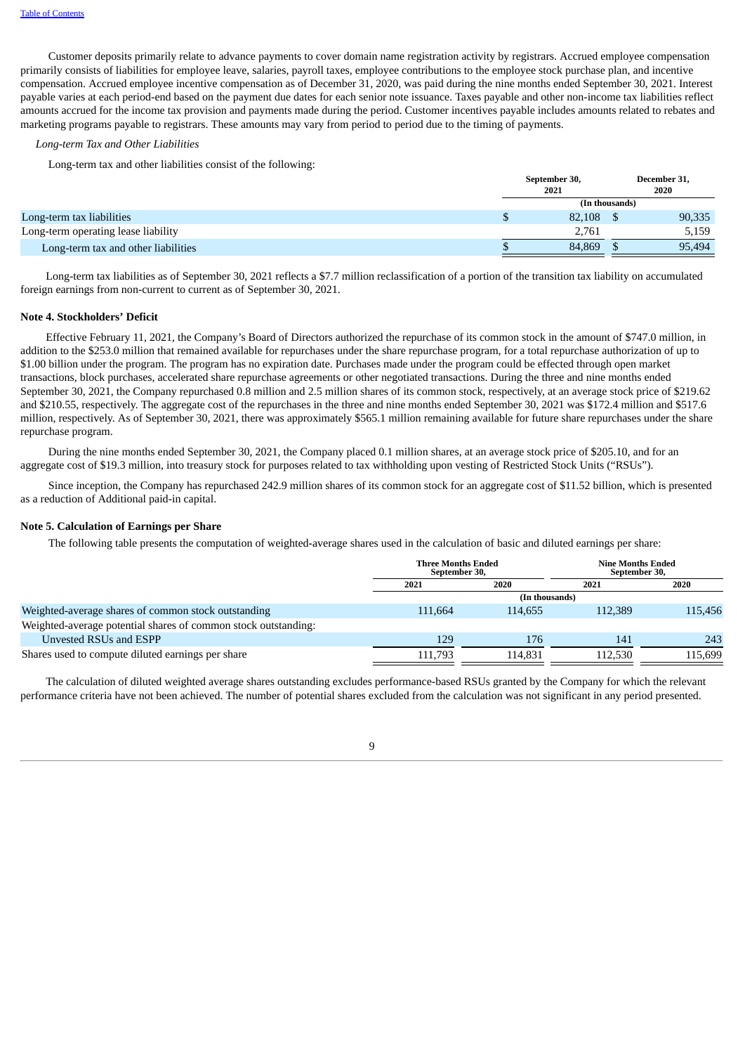Customer deposits primarily relate to advance payments to cover domain name registration activity by registrars. Accrued employee compensation primarily consists of liabilities for employee leave, salaries, payroll taxes, employee contributions to the employee stock purchase plan, and incentive compensation. Accrued employee incentive compensation as of December 31, 2020, was paid during the nine months ended September 30, 2021. Interest payable varies at each period-end based on the payment due dates for each senior note issuance. Taxes payable and other non-income tax liabilities reflect amounts accrued for the income tax provision and payments made during the period. Customer incentives payable includes amounts related to rebates and marketing programs payable to registrars. These amounts may vary from period to period due to the timing of payments.

## *Long-term Tax and Other Liabilities*

Long-term tax and other liabilities consist of the following:

|                                     | September 30, |                | December 31, |
|-------------------------------------|---------------|----------------|--------------|
|                                     | 2021          |                | 2020         |
|                                     |               | (In thousands) |              |
| Long-term tax liabilities           | 82,108        |                | 90,335       |
| Long-term operating lease liability | 2.761         |                | 5,159        |
| Long-term tax and other liabilities | 84,869        |                | 95,494       |

Long-term tax liabilities as of September 30, 2021 reflects a \$7.7 million reclassification of a portion of the transition tax liability on accumulated foreign earnings from non-current to current as of September 30, 2021.

#### **Note 4. Stockholders' Deficit**

Effective February 11, 2021, the Company's Board of Directors authorized the repurchase of its common stock in the amount of \$747.0 million, in addition to the \$253.0 million that remained available for repurchases under the share repurchase program, for a total repurchase authorization of up to \$1.00 billion under the program. The program has no expiration date. Purchases made under the program could be effected through open market transactions, block purchases, accelerated share repurchase agreements or other negotiated transactions. During the three and nine months ended September 30, 2021, the Company repurchased 0.8 million and 2.5 million shares of its common stock, respectively, at an average stock price of \$219.62 and \$210.55, respectively. The aggregate cost of the repurchases in the three and nine months ended September 30, 2021 was \$172.4 million and \$517.6 million, respectively. As of September 30, 2021, there was approximately \$565.1 million remaining available for future share repurchases under the share repurchase program.

During the nine months ended September 30, 2021, the Company placed 0.1 million shares, at an average stock price of \$205.10, and for an aggregate cost of \$19.3 million, into treasury stock for purposes related to tax withholding upon vesting of Restricted Stock Units ("RSUs").

Since inception, the Company has repurchased 242.9 million shares of its common stock for an aggregate cost of \$11.52 billion, which is presented as a reduction of Additional paid-in capital.

## **Note 5. Calculation of Earnings per Share**

The following table presents the computation of weighted-average shares used in the calculation of basic and diluted earnings per share:

|                                                                | <b>Three Months Ended</b><br>September 30, |                |         | <b>Nine Months Ended</b><br>September 30, |
|----------------------------------------------------------------|--------------------------------------------|----------------|---------|-------------------------------------------|
|                                                                | 2021                                       | 2020           | 2021    | 2020                                      |
|                                                                |                                            | (In thousands) |         |                                           |
| Weighted-average shares of common stock outstanding            | 111,664                                    | 114,655        | 112,389 | 115,456                                   |
| Weighted-average potential shares of common stock outstanding: |                                            |                |         |                                           |
| Unvested RSUs and ESPP                                         | 129                                        | 176            | 141     | 243                                       |
| Shares used to compute diluted earnings per share              | 111.793                                    | 114.831        | 112,530 | 115.699                                   |

The calculation of diluted weighted average shares outstanding excludes performance-based RSUs granted by the Company for which the relevant performance criteria have not been achieved. The number of potential shares excluded from the calculation was not significant in any period presented.

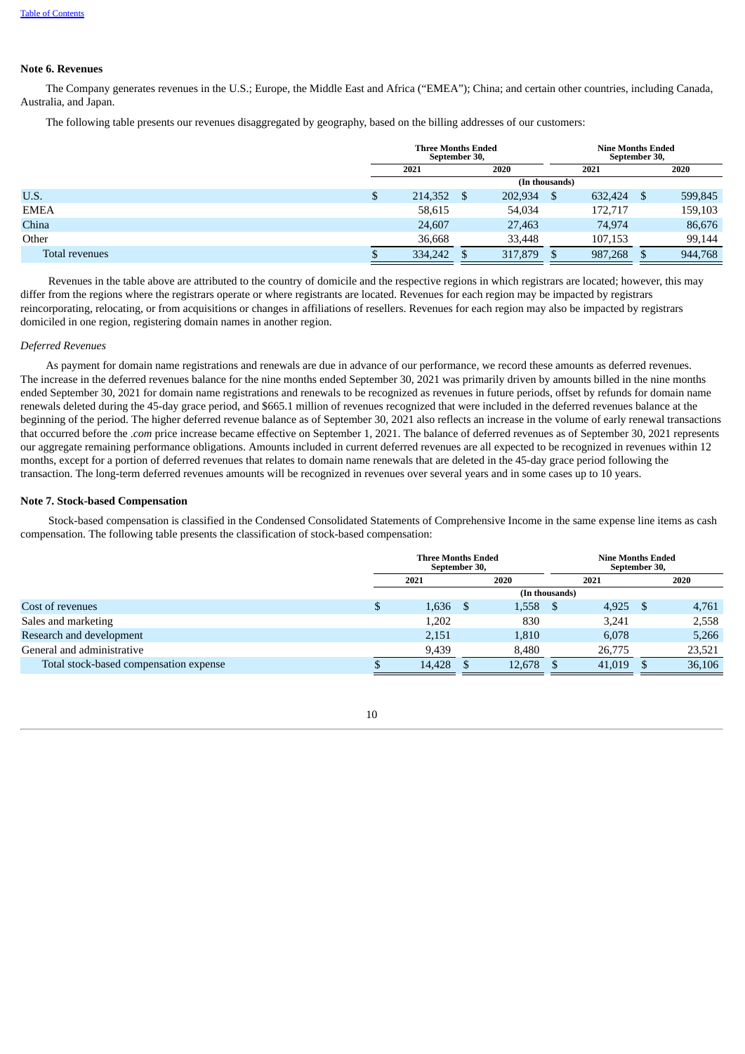#### **Note 6. Revenues**

The Company generates revenues in the U.S.; Europe, the Middle East and Africa ("EMEA"); China; and certain other countries, including Canada, Australia, and Japan.

The following table presents our revenues disaggregated by geography, based on the billing addresses of our customers:

|                | <b>Three Months Ended</b><br>September 30, |         |               |                |      | <b>Nine Months Ended</b><br>September 30, |               |
|----------------|--------------------------------------------|---------|---------------|----------------|------|-------------------------------------------|---------------|
|                |                                            | 2021    |               | 2020           | 2021 |                                           | 2020          |
|                |                                            |         |               | (In thousands) |      |                                           |               |
| U.S.           | ۵D                                         | 214,352 | <sup>\$</sup> | 202,934        | - \$ | 632,424                                   | \$<br>599,845 |
| <b>EMEA</b>    |                                            | 58,615  |               | 54,034         |      | 172.717                                   | 159,103       |
| China          |                                            | 24,607  |               | 27,463         |      | 74,974                                    | 86,676        |
| Other          |                                            | 36,668  |               | 33,448         |      | 107,153                                   | 99,144        |
| Total revenues |                                            | 334,242 |               | 317,879        |      | 987,268                                   | 944,768       |

Revenues in the table above are attributed to the country of domicile and the respective regions in which registrars are located; however, this may differ from the regions where the registrars operate or where registrants are located. Revenues for each region may be impacted by registrars reincorporating, relocating, or from acquisitions or changes in affiliations of resellers. Revenues for each region may also be impacted by registrars domiciled in one region, registering domain names in another region.

## *Deferred Revenues*

As payment for domain name registrations and renewals are due in advance of our performance, we record these amounts as deferred revenues. The increase in the deferred revenues balance for the nine months ended September 30, 2021 was primarily driven by amounts billed in the nine months ended September 30, 2021 for domain name registrations and renewals to be recognized as revenues in future periods, offset by refunds for domain name renewals deleted during the 45-day grace period, and \$665.1 million of revenues recognized that were included in the deferred revenues balance at the beginning of the period. The higher deferred revenue balance as of September 30, 2021 also reflects an increase in the volume of early renewal transactions that occurred before the .*com* price increase became effective on September 1, 2021. The balance of deferred revenues as of September 30, 2021 represents our aggregate remaining performance obligations. Amounts included in current deferred revenues are all expected to be recognized in revenues within 12 months, except for a portion of deferred revenues that relates to domain name renewals that are deleted in the 45-day grace period following the transaction. The long-term deferred revenues amounts will be recognized in revenues over several years and in some cases up to 10 years.

## **Note 7. Stock-based Compensation**

Stock-based compensation is classified in the Condensed Consolidated Statements of Comprehensive Income in the same expense line items as cash compensation. The following table presents the classification of stock-based compensation:

|                                        | <b>Three Months Ended</b><br>September 30, |        |     |        |                | <b>Nine Months Ended</b><br>September 30, |  |        |  |
|----------------------------------------|--------------------------------------------|--------|-----|--------|----------------|-------------------------------------------|--|--------|--|
|                                        |                                            | 2021   |     | 2020   |                | 2021                                      |  | 2020   |  |
|                                        |                                            |        |     |        | (In thousands) |                                           |  |        |  |
| Cost of revenues                       | S                                          | 1,636  | - S | 1,558  |                | 4,925                                     |  | 4,761  |  |
| Sales and marketing                    |                                            | 1,202  |     | 830    |                | 3,241                                     |  | 2,558  |  |
| Research and development               |                                            | 2,151  |     | 1,810  |                | 6,078                                     |  | 5,266  |  |
| General and administrative             |                                            | 9.439  |     | 8,480  |                | 26,775                                    |  | 23,521 |  |
| Total stock-based compensation expense |                                            | 14,428 |     | 12,678 |                | 41,019                                    |  | 36,106 |  |

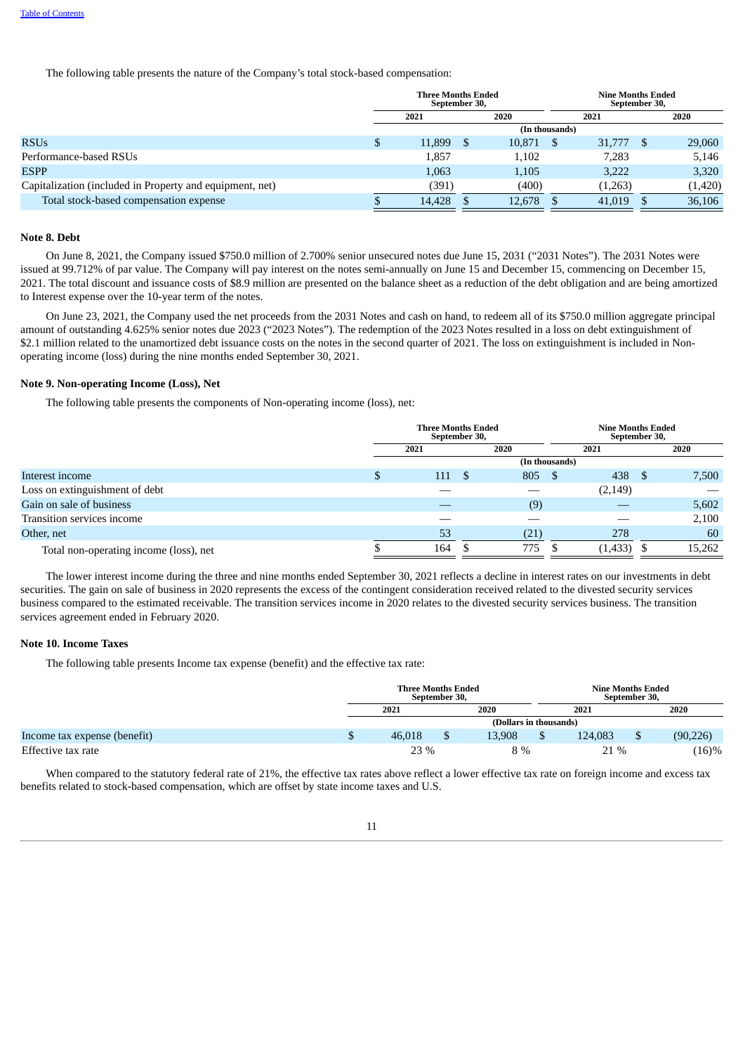The following table presents the nature of the Company's total stock-based compensation:

|                                                          | <b>Three Months Ended</b><br>September 30, |        |    |                |  | <b>Nine Months Ended</b><br>September 30, |  |          |  |
|----------------------------------------------------------|--------------------------------------------|--------|----|----------------|--|-------------------------------------------|--|----------|--|
|                                                          | 2021                                       |        |    | 2020           |  | 2021                                      |  | 2020     |  |
|                                                          |                                            |        |    | (In thousands) |  |                                           |  |          |  |
| <b>RSUs</b>                                              | \$                                         | 11,899 | -8 | 10,871         |  | 31,777                                    |  | 29,060   |  |
| Performance-based RSUs                                   |                                            | 1,857  |    | 1,102          |  | 7.283                                     |  | 5,146    |  |
| <b>ESPP</b>                                              |                                            | 1,063  |    | 1,105          |  | 3,222                                     |  | 3,320    |  |
| Capitalization (included in Property and equipment, net) |                                            | (391)  |    | (400)          |  | (1,263)                                   |  | (1, 420) |  |
| Total stock-based compensation expense                   |                                            | 14.428 |    | 12,678         |  | 41,019                                    |  | 36,106   |  |

## **Note 8. Debt**

On June 8, 2021, the Company issued \$750.0 million of 2.700% senior unsecured notes due June 15, 2031 ("2031 Notes"). The 2031 Notes were issued at 99.712% of par value. The Company will pay interest on the notes semi-annually on June 15 and December 15, commencing on December 15, 2021. The total discount and issuance costs of \$8.9 million are presented on the balance sheet as a reduction of the debt obligation and are being amortized to Interest expense over the 10-year term of the notes.

On June 23, 2021, the Company used the net proceeds from the 2031 Notes and cash on hand, to redeem all of its \$750.0 million aggregate principal amount of outstanding 4.625% senior notes due 2023 ("2023 Notes"). The redemption of the 2023 Notes resulted in a loss on debt extinguishment of \$2.1 million related to the unamortized debt issuance costs on the notes in the second quarter of 2021. The loss on extinguishment is included in Nonoperating income (loss) during the nine months ended September 30, 2021.

## **Note 9. Non-operating Income (Loss), Net**

The following table presents the components of Non-operating income (loss), net:

|                                        |   | <b>Three Months Ended</b><br>September 30, |      | <b>Nine Months Ended</b><br>September 30, |                |          |     |        |
|----------------------------------------|---|--------------------------------------------|------|-------------------------------------------|----------------|----------|-----|--------|
|                                        |   | 2021                                       | 2020 |                                           | 2021           |          |     | 2020   |
|                                        |   |                                            |      |                                           | (In thousands) |          |     |        |
| Interest income                        | D | 111                                        | - S  | 805                                       | <b>S</b>       | 438      | - S | 7,500  |
| Loss on extinguishment of debt         |   |                                            |      |                                           |                | (2, 149) |     |        |
| Gain on sale of business               |   |                                            |      | (9)                                       |                |          |     | 5,602  |
| Transition services income             |   |                                            |      |                                           |                |          |     | 2,100  |
| Other, net                             |   | 53                                         |      | (21)                                      |                | 278      |     | 60     |
| Total non-operating income (loss), net |   | 164                                        |      | 775                                       |                | (1, 433) |     | 15,262 |

The lower interest income during the three and nine months ended September 30, 2021 reflects a decline in interest rates on our investments in debt securities. The gain on sale of business in 2020 represents the excess of the contingent consideration received related to the divested security services business compared to the estimated receivable. The transition services income in 2020 relates to the divested security services business. The transition services agreement ended in February 2020.

## **Note 10. Income Taxes**

The following table presents Income tax expense (benefit) and the effective tax rate:

|                              | <b>Three Months Ended</b> | September 30, |                        | Nine Months Ended | September 30, |           |
|------------------------------|---------------------------|---------------|------------------------|-------------------|---------------|-----------|
|                              | 2021                      |               | 2020                   | 2021              |               | 2020      |
|                              |                           |               | (Dollars in thousands) |                   |               |           |
| Income tax expense (benefit) | 46.018                    |               | 13.908                 | 124,083           | ۰υ            | (90, 226) |
| Effective tax rate           | 23 %                      |               | 8 %                    | 21 %              |               | $(16)\%$  |

When compared to the statutory federal rate of 21%, the effective tax rates above reflect a lower effective tax rate on foreign income and excess tax benefits related to stock-based compensation, which are offset by state income taxes and U.S.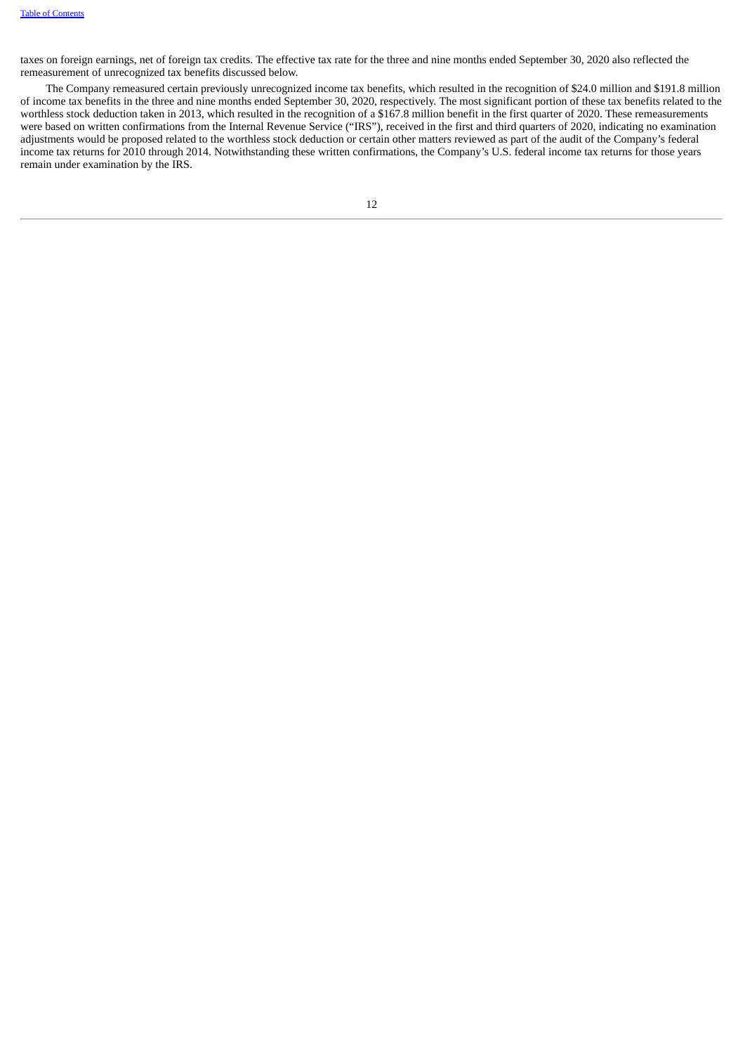taxes on foreign earnings, net of foreign tax credits. The effective tax rate for the three and nine months ended September 30, 2020 also reflected the remeasurement of unrecognized tax benefits discussed below.

The Company remeasured certain previously unrecognized income tax benefits, which resulted in the recognition of \$24.0 million and \$191.8 million of income tax benefits in the three and nine months ended September 30, 2020, respectively. The most significant portion of these tax benefits related to the worthless stock deduction taken in 2013, which resulted in the recognition of a \$167.8 million benefit in the first quarter of 2020. These remeasurements were based on written confirmations from the Internal Revenue Service ("IRS"), received in the first and third quarters of 2020, indicating no examination adjustments would be proposed related to the worthless stock deduction or certain other matters reviewed as part of the audit of the Company's federal income tax returns for 2010 through 2014. Notwithstanding these written confirmations, the Company's U.S. federal income tax returns for those years remain under examination by the IRS.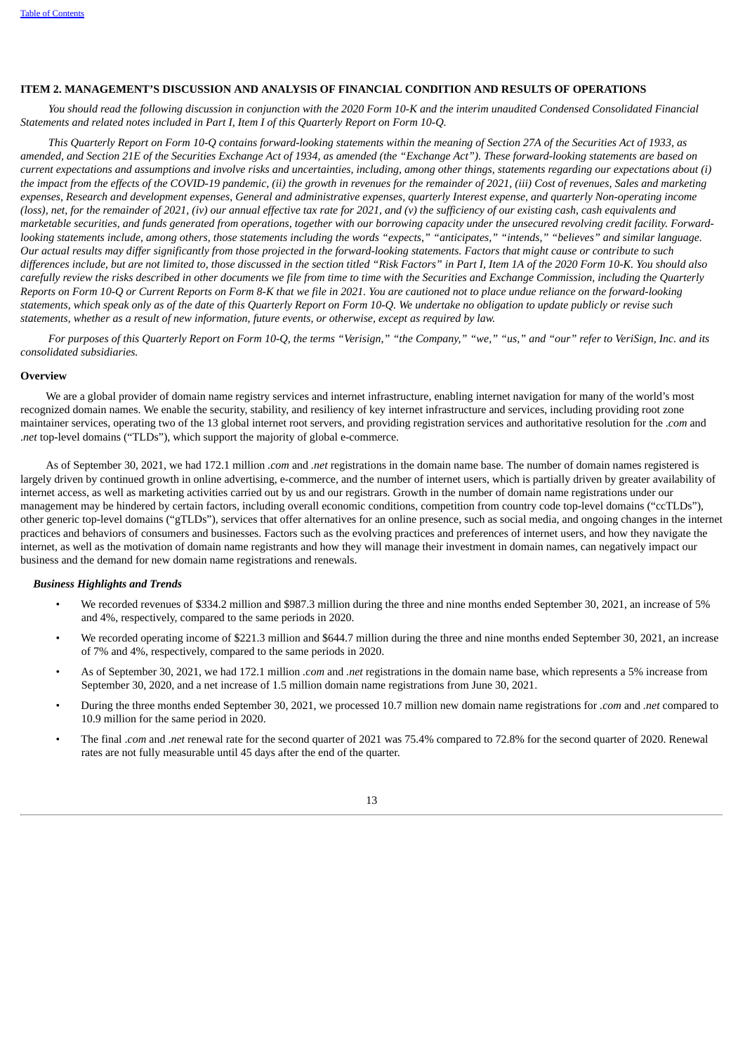## <span id="page-12-0"></span>**ITEM 2. MANAGEMENT'S DISCUSSION AND ANALYSIS OF FINANCIAL CONDITION AND RESULTS OF OPERATIONS**

You should read the following discussion in conjunction with the 2020 Form 10-K and the interim unaudited Condensed Consolidated Financial *Statements and related notes included in Part I, Item I of this Quarterly Report on Form 10-Q.*

This Quarterly Report on Form 10-Q contains forward-looking statements within the meaning of Section 27A of the Securities Act of 1933, as amended, and Section 21E of the Securities Exchange Act of 1934, as amended (the "Exchange Act"). These forward-looking statements are based on current expectations and assumptions and involve risks and uncertainties, including, among other things, statements regarding our expectations about (i) the impact from the effects of the COVID-19 pandemic, (ii) the growth in revenues for the remainder of 2021, (iii) Cost of revenues, Sales and marketing expenses, Research and development expenses, General and administrative expenses, quarterly Interest expense, and quarterly Non-operating income (loss), net, for the remainder of 2021, (iv) our annual effective tax rate for 2021, and (v) the sufficiency of our existing cash, cash equivalents and marketable securities, and funds generated from operations, together with our borrowing capacity under the unsecured revolving credit facility. Forwardlooking statements include, among others, those statements including the words "expects," "anticipates," "intends," "believes" and similar language. Our actual results may differ significantly from those projected in the forward-looking statements. Factors that might cause or contribute to such differences include, but are not limited to, those discussed in the section titled "Risk Factors" in Part I, Item 1A of the 2020 Form 10-K. You should also carefully review the risks described in other documents we file from time to time with the Securities and Exchange Commission, including the Ouarterly Reports on Form 10-Q or Current Reports on Form 8-K that we file in 2021. You are cautioned not to place undue reliance on the forward-looking statements, which speak only as of the date of this Quarterly Report on Form 10-Q. We undertake no obligation to update publicly or revise such statements, whether as a result of new information, future events, or otherwise, except as required by law.

For purposes of this Quarterly Report on Form 10-Q, the terms "Verisign," "the Company," "we," "us," and "our" refer to VeriSign, Inc. and its *consolidated subsidiaries.*

## **Overview**

We are a global provider of domain name registry services and internet infrastructure, enabling internet navigation for many of the world's most recognized domain names. We enable the security, stability, and resiliency of key internet infrastructure and services, including providing root zone maintainer services, operating two of the 13 global internet root servers, and providing registration services and authoritative resolution for the .*com* and .*net* top-level domains ("TLDs"), which support the majority of global e-commerce.

As of September 30, 2021, we had 172.1 million *.com* and *.net* registrations in the domain name base. The number of domain names registered is largely driven by continued growth in online advertising, e-commerce, and the number of internet users, which is partially driven by greater availability of internet access, as well as marketing activities carried out by us and our registrars. Growth in the number of domain name registrations under our management may be hindered by certain factors, including overall economic conditions, competition from country code top-level domains ("ccTLDs"), other generic top-level domains ("gTLDs"), services that offer alternatives for an online presence, such as social media, and ongoing changes in the internet practices and behaviors of consumers and businesses. Factors such as the evolving practices and preferences of internet users, and how they navigate the internet, as well as the motivation of domain name registrants and how they will manage their investment in domain names, can negatively impact our business and the demand for new domain name registrations and renewals.

## *Business Highlights and Trends*

- We recorded revenues of \$334.2 million and \$987.3 million during the three and nine months ended September 30, 2021, an increase of 5% and 4%, respectively, compared to the same periods in 2020.
- We recorded operating income of \$221.3 million and \$644.7 million during the three and nine months ended September 30, 2021, an increase of 7% and 4%, respectively, compared to the same periods in 2020.
- As of September 30, 2021, we had 172.1 million *.com* and *.net* registrations in the domain name base, which represents a 5% increase from September 30, 2020, and a net increase of 1.5 million domain name registrations from June 30, 2021.
- During the three months ended September 30, 2021, we processed 10.7 million new domain name registrations for *.com* and *.net* compared to 10.9 million for the same period in 2020.
- The final .*com* and .*net* renewal rate for the second quarter of 2021 was 75.4% compared to 72.8% for the second quarter of 2020. Renewal rates are not fully measurable until 45 days after the end of the quarter.

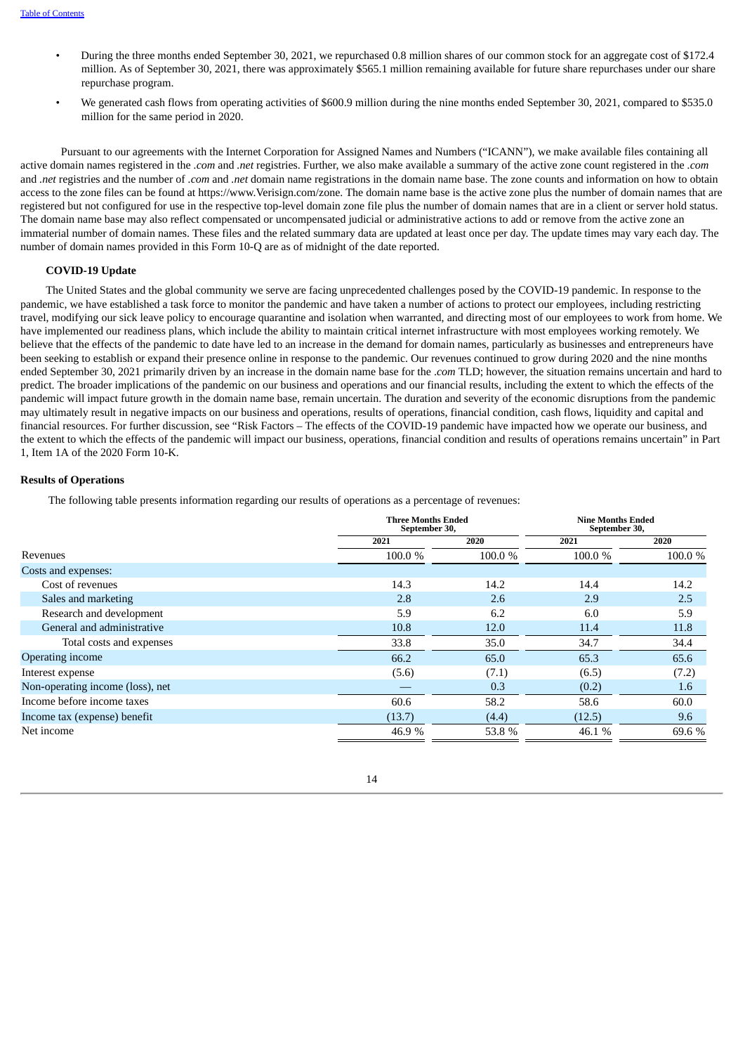- During the three months ended September 30, 2021, we repurchased 0.8 million shares of our common stock for an aggregate cost of \$172.4 million. As of September 30, 2021, there was approximately \$565.1 million remaining available for future share repurchases under our share repurchase program.
- We generated cash flows from operating activities of \$600.9 million during the nine months ended September 30, 2021, compared to \$535.0 million for the same period in 2020.

Pursuant to our agreements with the Internet Corporation for Assigned Names and Numbers ("ICANN"), we make available files containing all active domain names registered in the *.com* and *.net* registries. Further, we also make available a summary of the active zone count registered in the *.com* and *.net* registries and the number of *.com* and *.net* domain name registrations in the domain name base. The zone counts and information on how to obtain access to the zone files can be found at https://www.Verisign.com/zone. The domain name base is the active zone plus the number of domain names that are registered but not configured for use in the respective top-level domain zone file plus the number of domain names that are in a client or server hold status. The domain name base may also reflect compensated or uncompensated judicial or administrative actions to add or remove from the active zone an immaterial number of domain names. These files and the related summary data are updated at least once per day. The update times may vary each day. The number of domain names provided in this Form 10-Q are as of midnight of the date reported.

## **COVID-19 Update**

The United States and the global community we serve are facing unprecedented challenges posed by the COVID-19 pandemic. In response to the pandemic, we have established a task force to monitor the pandemic and have taken a number of actions to protect our employees, including restricting travel, modifying our sick leave policy to encourage quarantine and isolation when warranted, and directing most of our employees to work from home. We have implemented our readiness plans, which include the ability to maintain critical internet infrastructure with most employees working remotely. We believe that the effects of the pandemic to date have led to an increase in the demand for domain names, particularly as businesses and entrepreneurs have been seeking to establish or expand their presence online in response to the pandemic. Our revenues continued to grow during 2020 and the nine months ended September 30, 2021 primarily driven by an increase in the domain name base for the .*com* TLD; however, the situation remains uncertain and hard to predict. The broader implications of the pandemic on our business and operations and our financial results, including the extent to which the effects of the pandemic will impact future growth in the domain name base, remain uncertain. The duration and severity of the economic disruptions from the pandemic may ultimately result in negative impacts on our business and operations, results of operations, financial condition, cash flows, liquidity and capital and financial resources. For further discussion, see "Risk Factors – The effects of the COVID-19 pandemic have impacted how we operate our business, and the extent to which the effects of the pandemic will impact our business, operations, financial condition and results of operations remains uncertain" in Part 1, Item 1A of the 2020 Form 10-K.

#### **Results of Operations**

The following table presents information regarding our results of operations as a percentage of revenues:

|                                  | <b>Three Months Ended</b><br>September 30, |         | <b>Nine Months Ended</b><br>September 30, |        |  |
|----------------------------------|--------------------------------------------|---------|-------------------------------------------|--------|--|
|                                  | 2021                                       | 2020    | 2021                                      | 2020   |  |
| <b>Revenues</b>                  | 100.0%                                     | 100.0 % | 100.0%                                    | 100.0% |  |
| Costs and expenses:              |                                            |         |                                           |        |  |
| Cost of revenues                 | 14.3                                       | 14.2    | 14.4                                      | 14.2   |  |
| Sales and marketing              | 2.8                                        | 2.6     | 2.9                                       | 2.5    |  |
| Research and development         | 5.9                                        | 6.2     | 6.0                                       | 5.9    |  |
| General and administrative       | 10.8                                       | 12.0    | 11.4                                      | 11.8   |  |
| Total costs and expenses         | 33.8                                       | 35.0    | 34.7                                      | 34.4   |  |
| <b>Operating income</b>          | 66.2                                       | 65.0    | 65.3                                      | 65.6   |  |
| Interest expense                 | (5.6)                                      | (7.1)   | (6.5)                                     | (7.2)  |  |
| Non-operating income (loss), net |                                            | 0.3     | (0.2)                                     | 1.6    |  |
| Income before income taxes       | 60.6                                       | 58.2    | 58.6                                      | 60.0   |  |
| Income tax (expense) benefit     | (13.7)                                     | (4.4)   | (12.5)                                    | 9.6    |  |
| Net income                       | 46.9%                                      | 53.8 %  | 46.1 %                                    | 69.6 % |  |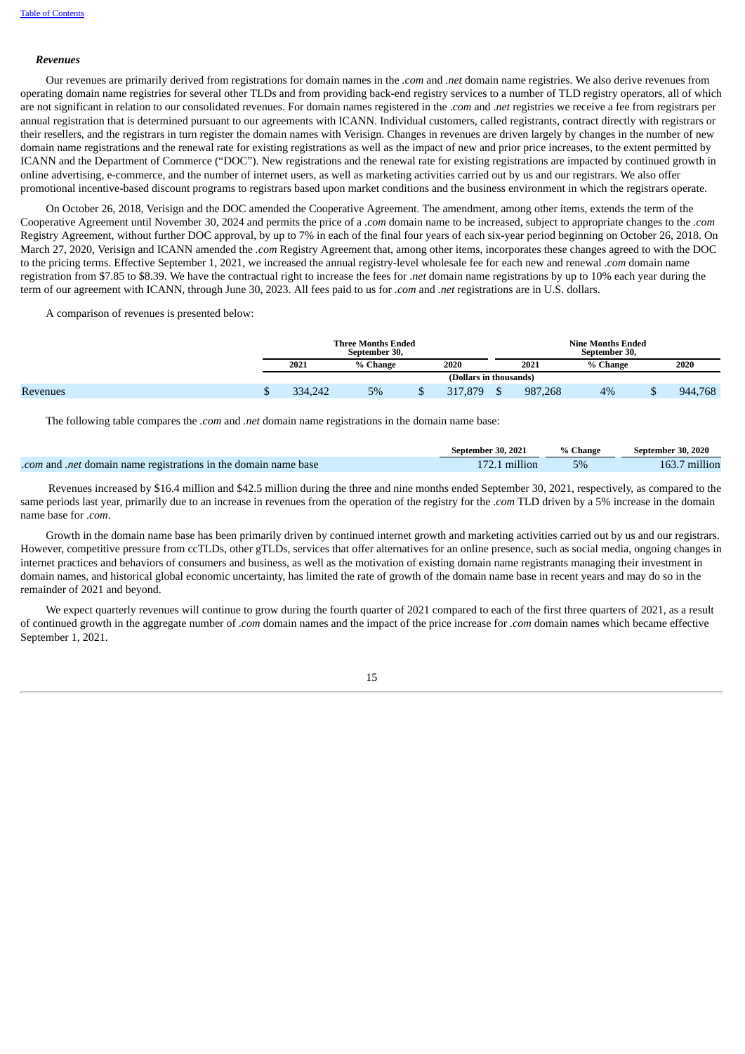## *Revenues*

Our revenues are primarily derived from registrations for domain names in the *.com* and *.net* domain name registries. We also derive revenues from operating domain name registries for several other TLDs and from providing back-end registry services to a number of TLD registry operators, all of which are not significant in relation to our consolidated revenues. For domain names registered in the .*com* and .*net* registries we receive a fee from registrars per annual registration that is determined pursuant to our agreements with ICANN. Individual customers, called registrants, contract directly with registrars or their resellers, and the registrars in turn register the domain names with Verisign. Changes in revenues are driven largely by changes in the number of new domain name registrations and the renewal rate for existing registrations as well as the impact of new and prior price increases, to the extent permitted by ICANN and the Department of Commerce ("DOC"). New registrations and the renewal rate for existing registrations are impacted by continued growth in online advertising, e-commerce, and the number of internet users, as well as marketing activities carried out by us and our registrars. We also offer promotional incentive-based discount programs to registrars based upon market conditions and the business environment in which the registrars operate.

On October 26, 2018, Verisign and the DOC amended the Cooperative Agreement. The amendment, among other items, extends the term of the Cooperative Agreement until November 30, 2024 and permits the price of a *.com* domain name to be increased, subject to appropriate changes to the *.com* Registry Agreement, without further DOC approval, by up to 7% in each of the final four years of each six-year period beginning on October 26, 2018. On March 27, 2020, Verisign and ICANN amended the *.com* Registry Agreement that, among other items, incorporates these changes agreed to with the DOC to the pricing terms. Effective September 1, 2021, we increased the annual registry-level wholesale fee for each new and renewal .*com* domain name registration from \$7.85 to \$8.39. We have the contractual right to increase the fees for .*net* domain name registrations by up to 10% each year during the term of our agreement with ICANN, through June 30, 2023. All fees paid to us for *.com* and *.net* registrations are in U.S. dollars.

A comparison of revenues is presented below:

|                 |         | <b>Three Months Ended</b><br>September 30, |  |                        | <b>Nine Months Ended</b><br>September 30, |          |         |
|-----------------|---------|--------------------------------------------|--|------------------------|-------------------------------------------|----------|---------|
|                 | 2021    | 2020<br>% Change                           |  |                        | 2021                                      | % Change | 2020    |
|                 |         |                                            |  | (Dollars in thousands) |                                           |          |         |
| <b>Revenues</b> | 334.242 | 5%                                         |  | 317,879                | 987,268                                   | 4%       | 944,768 |

The following table compares the *.com* and *.net* domain name registrations in the domain name base:

|                                                                             | September 30, 2021 | % Change | September 30, 2020 |
|-----------------------------------------------------------------------------|--------------------|----------|--------------------|
| <i>com</i> and <i>net</i> domain name registrations in the domain name base | million            | 5%       | million<br>163.    |

Revenues increased by \$16.4 million and \$42.5 million during the three and nine months ended September 30, 2021, respectively, as compared to the same periods last year, primarily due to an increase in revenues from the operation of the registry for the .*com* TLD driven by a 5% increase in the domain name base for .*com*.

Growth in the domain name base has been primarily driven by continued internet growth and marketing activities carried out by us and our registrars. However, competitive pressure from ccTLDs, other gTLDs, services that offer alternatives for an online presence, such as social media, ongoing changes in internet practices and behaviors of consumers and business, as well as the motivation of existing domain name registrants managing their investment in domain names, and historical global economic uncertainty, has limited the rate of growth of the domain name base in recent years and may do so in the remainder of 2021 and beyond.

We expect quarterly revenues will continue to grow during the fourth quarter of 2021 compared to each of the first three quarters of 2021, as a result of continued growth in the aggregate number of .*com* domain names and the impact of the price increase for *.com* domain names which became effective September 1, 2021.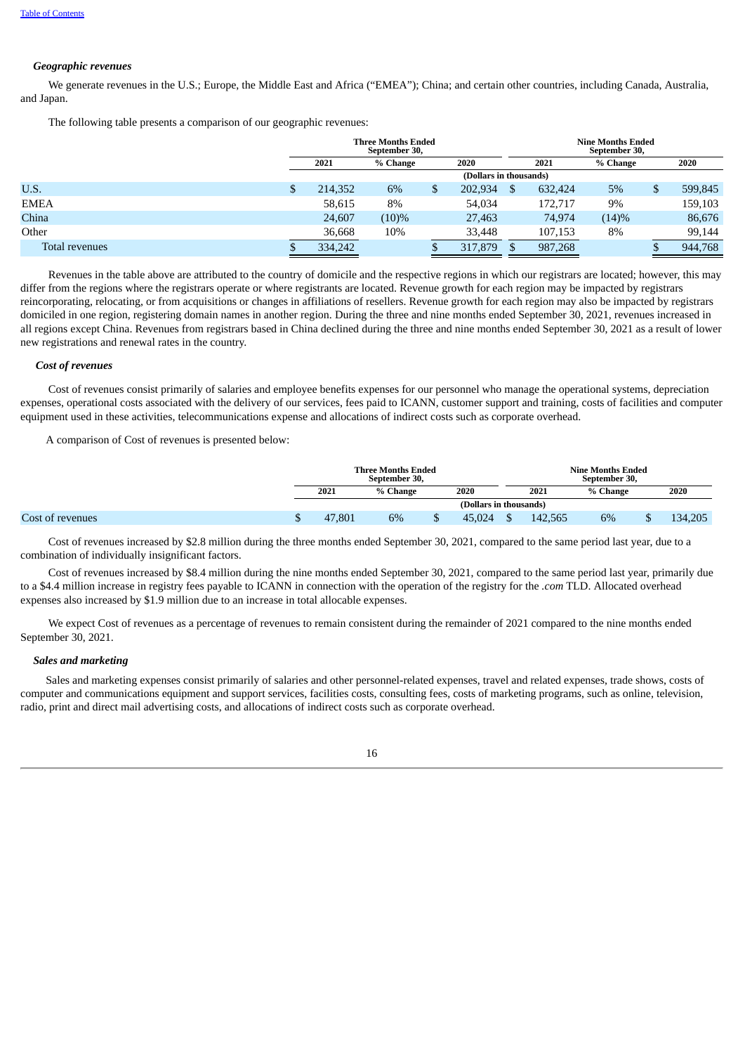## *Geographic revenues*

We generate revenues in the U.S.; Europe, the Middle East and Africa ("EMEA"); China; and certain other countries, including Canada, Australia, and Japan.

The following table presents a comparison of our geographic revenues:

|                |         | Three Months Ended<br>September 30, |    |         |   | <b>Nine Months Ended</b><br>September 30, |          |    |         |
|----------------|---------|-------------------------------------|----|---------|---|-------------------------------------------|----------|----|---------|
|                | 2021    | % Change                            |    | 2020    |   | 2021                                      | % Change |    | 2020    |
|                |         |                                     |    |         |   |                                           |          |    |         |
| U.S.           | 214,352 | 6%                                  | \$ | 202,934 | S | 632,424                                   | 5%       | \$ | 599,845 |
| <b>EMEA</b>    | 58,615  | 8%                                  |    | 54,034  |   | 172.717                                   | $9\%$    |    | 159,103 |
| China          | 24,607  | $(10)\%$                            |    | 27,463  |   | 74,974                                    | (14)%    |    | 86,676  |
| Other          | 36,668  | 10%                                 |    | 33,448  |   | 107,153                                   | 8%       |    | 99.144  |
| Total revenues | 334,242 |                                     |    | 317,879 |   | 987,268                                   |          | \$ | 944,768 |

Revenues in the table above are attributed to the country of domicile and the respective regions in which our registrars are located; however, this may differ from the regions where the registrars operate or where registrants are located. Revenue growth for each region may be impacted by registrars reincorporating, relocating, or from acquisitions or changes in affiliations of resellers. Revenue growth for each region may also be impacted by registrars domiciled in one region, registering domain names in another region. During the three and nine months ended September 30, 2021, revenues increased in all regions except China. Revenues from registrars based in China declined during the three and nine months ended September 30, 2021 as a result of lower new registrations and renewal rates in the country.

## *Cost of revenues*

Cost of revenues consist primarily of salaries and employee benefits expenses for our personnel who manage the operational systems, depreciation expenses, operational costs associated with the delivery of our services, fees paid to ICANN, customer support and training, costs of facilities and computer equipment used in these activities, telecommunications expense and allocations of indirect costs such as corporate overhead.

A comparison of Cost of revenues is presented below:

|                  |        | <b>Three Months Ended</b><br>September 30, |                        |  | <b>Nine Months Ended</b><br>September 30, |          |  |         |
|------------------|--------|--------------------------------------------|------------------------|--|-------------------------------------------|----------|--|---------|
|                  | 2021   | % Change                                   | 2020                   |  | 2021                                      | % Change |  | 2020    |
|                  |        |                                            | (Dollars in thousands) |  |                                           |          |  |         |
| Cost of revenues | 47,801 | 6%                                         | 45,024                 |  | 142,565                                   | 6%       |  | 134,205 |

Cost of revenues increased by \$2.8 million during the three months ended September 30, 2021, compared to the same period last year, due to a combination of individually insignificant factors.

Cost of revenues increased by \$8.4 million during the nine months ended September 30, 2021, compared to the same period last year, primarily due to a \$4.4 million increase in registry fees payable to ICANN in connection with the operation of the registry for the *.com* TLD. Allocated overhead expenses also increased by \$1.9 million due to an increase in total allocable expenses.

We expect Cost of revenues as a percentage of revenues to remain consistent during the remainder of 2021 compared to the nine months ended September 30, 2021.

#### *Sales and marketing*

Sales and marketing expenses consist primarily of salaries and other personnel-related expenses, travel and related expenses, trade shows, costs of computer and communications equipment and support services, facilities costs, consulting fees, costs of marketing programs, such as online, television, radio, print and direct mail advertising costs, and allocations of indirect costs such as corporate overhead.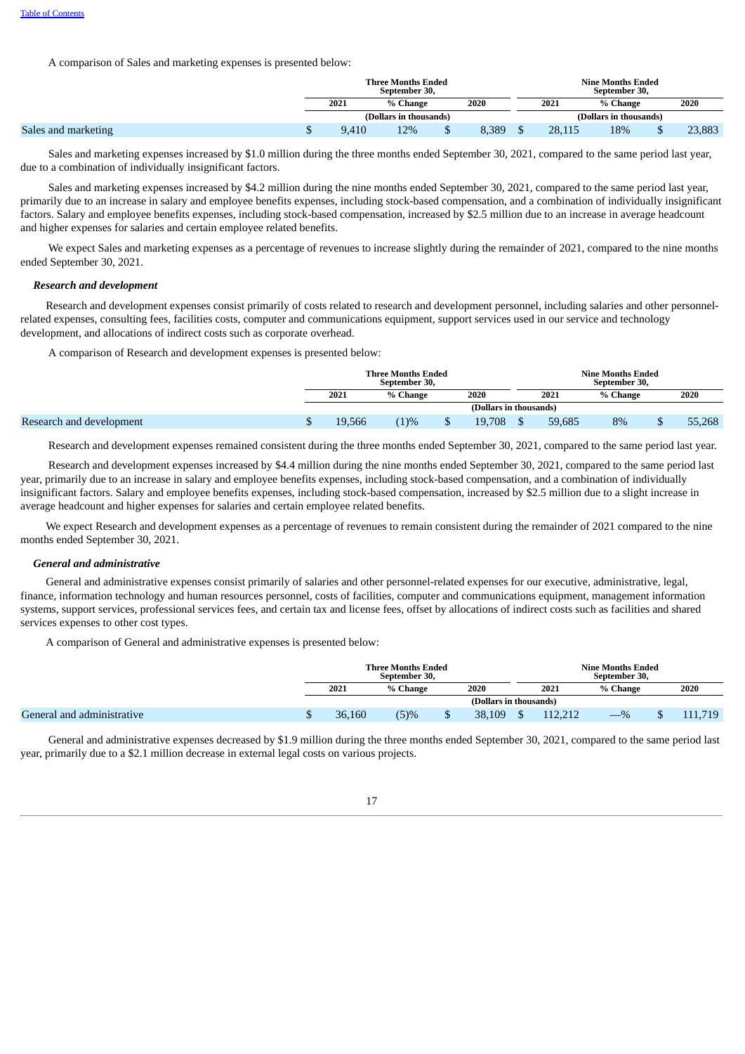## A comparison of Sales and marketing expenses is presented below:

|                     | <b>Three Months Ended</b><br>September 30, |                        |  |       |  |        | <b>Nine Months Ended</b><br>September 30, |   |        |
|---------------------|--------------------------------------------|------------------------|--|-------|--|--------|-------------------------------------------|---|--------|
|                     | 2021                                       | % Change               |  | 2020  |  | 2021   | % Change                                  |   | 2020   |
|                     |                                            | (Dollars in thousands) |  |       |  |        | (Dollars in thousands)                    |   |        |
| Sales and marketing | 9.410                                      | 12%                    |  | 8,389 |  | 28,115 | 18%                                       | ш | 23,883 |

Sales and marketing expenses increased by \$1.0 million during the three months ended September 30, 2021, compared to the same period last year, due to a combination of individually insignificant factors.

Sales and marketing expenses increased by \$4.2 million during the nine months ended September 30, 2021, compared to the same period last year, primarily due to an increase in salary and employee benefits expenses, including stock-based compensation, and a combination of individually insignificant factors. Salary and employee benefits expenses, including stock-based compensation, increased by \$2.5 million due to an increase in average headcount and higher expenses for salaries and certain employee related benefits.

We expect Sales and marketing expenses as a percentage of revenues to increase slightly during the remainder of 2021, compared to the nine months ended September 30, 2021.

## *Research and development*

Research and development expenses consist primarily of costs related to research and development personnel, including salaries and other personnelrelated expenses, consulting fees, facilities costs, computer and communications equipment, support services used in our service and technology development, and allocations of indirect costs such as corporate overhead.

A comparison of Research and development expenses is presented below:

|                          | <b>Three Months Ended</b><br>September 30, |          |                        |        |                  | <b>Nine Months Ended</b><br>September 30. |    |      |        |  |  |
|--------------------------|--------------------------------------------|----------|------------------------|--------|------------------|-------------------------------------------|----|------|--------|--|--|
|                          | 2021                                       | % Change |                        | 2020   | 2021<br>% Change |                                           |    | 2020 |        |  |  |
|                          |                                            |          | (Dollars in thousands) |        |                  |                                           |    |      |        |  |  |
| Research and development | 19,566                                     | 1)%      |                        | 19.708 |                  | 59,685                                    | 8% |      | 55,268 |  |  |

Research and development expenses remained consistent during the three months ended September 30, 2021, compared to the same period last year.

Research and development expenses increased by \$4.4 million during the nine months ended September 30, 2021, compared to the same period last year, primarily due to an increase in salary and employee benefits expenses, including stock-based compensation, and a combination of individually insignificant factors. Salary and employee benefits expenses, including stock-based compensation, increased by \$2.5 million due to a slight increase in average headcount and higher expenses for salaries and certain employee related benefits.

We expect Research and development expenses as a percentage of revenues to remain consistent during the remainder of 2021 compared to the nine months ended September 30, 2021.

#### *General and administrative*

General and administrative expenses consist primarily of salaries and other personnel-related expenses for our executive, administrative, legal, finance, information technology and human resources personnel, costs of facilities, computer and communications equipment, management information systems, support services, professional services fees, and certain tax and license fees, offset by allocations of indirect costs such as facilities and shared services expenses to other cost types.

A comparison of General and administrative expenses is presented below:

| <b>Three Months Ended</b><br>September 30, |          |  |        |  | <b>Nine Months Ended</b><br>September 30, |                        |  |         |  |  |
|--------------------------------------------|----------|--|--------|--|-------------------------------------------|------------------------|--|---------|--|--|
| 2021                                       | % Change |  | 2020   |  | 2021                                      | % Change               |  | 2020    |  |  |
|                                            |          |  |        |  |                                           |                        |  |         |  |  |
| 36,160                                     | (5)%     |  | 38,109 |  | ノウイワ                                      | $-$ %                  |  | 111,719 |  |  |
|                                            |          |  |        |  |                                           | (Dollars in thousands) |  |         |  |  |

General and administrative expenses decreased by \$1.9 million during the three months ended September 30, 2021, compared to the same period last year, primarily due to a \$2.1 million decrease in external legal costs on various projects.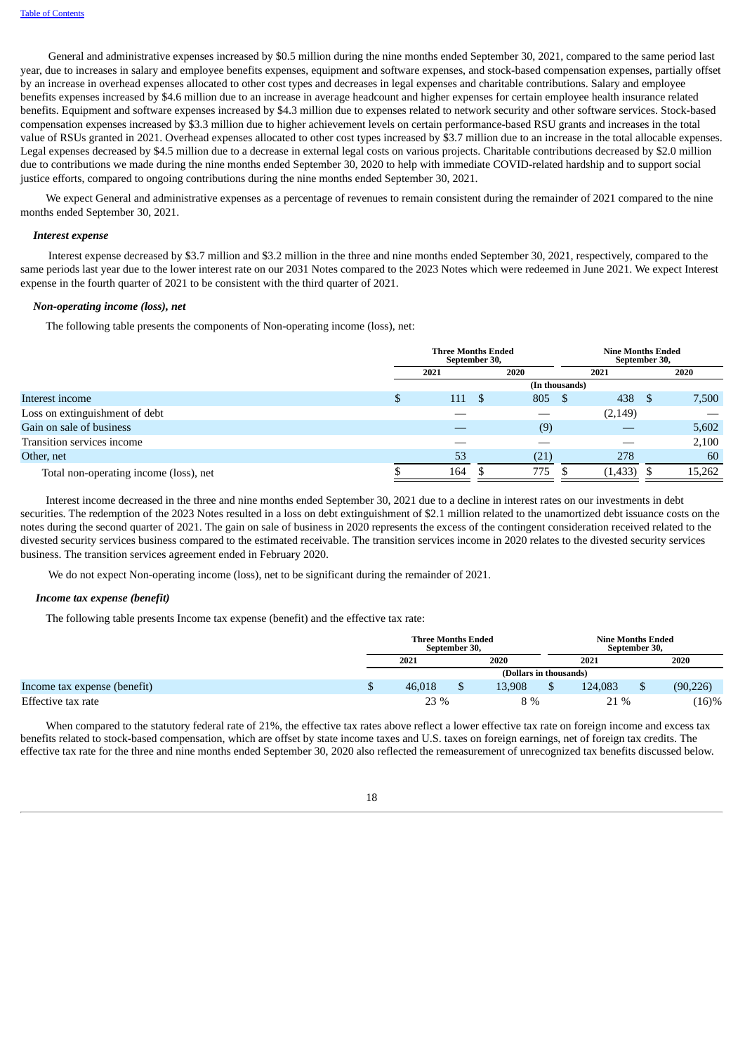General and administrative expenses increased by \$0.5 million during the nine months ended September 30, 2021, compared to the same period last year, due to increases in salary and employee benefits expenses, equipment and software expenses, and stock-based compensation expenses, partially offset by an increase in overhead expenses allocated to other cost types and decreases in legal expenses and charitable contributions. Salary and employee benefits expenses increased by \$4.6 million due to an increase in average headcount and higher expenses for certain employee health insurance related benefits. Equipment and software expenses increased by \$4.3 million due to expenses related to network security and other software services. Stock-based compensation expenses increased by \$3.3 million due to higher achievement levels on certain performance-based RSU grants and increases in the total value of RSUs granted in 2021. Overhead expenses allocated to other cost types increased by \$3.7 million due to an increase in the total allocable expenses. Legal expenses decreased by \$4.5 million due to a decrease in external legal costs on various projects. Charitable contributions decreased by \$2.0 million due to contributions we made during the nine months ended September 30, 2020 to help with immediate COVID-related hardship and to support social justice efforts, compared to ongoing contributions during the nine months ended September 30, 2021.

We expect General and administrative expenses as a percentage of revenues to remain consistent during the remainder of 2021 compared to the nine months ended September 30, 2021.

#### *Interest expense*

Interest expense decreased by \$3.7 million and \$3.2 million in the three and nine months ended September 30, 2021, respectively, compared to the same periods last year due to the lower interest rate on our 2031 Notes compared to the 2023 Notes which were redeemed in June 2021. We expect Interest expense in the fourth quarter of 2021 to be consistent with the third quarter of 2021.

## *Non-operating income (loss), net*

The following table presents the components of Non-operating income (loss), net:

|                                        | <b>Three Months Ended</b><br>September 30, |      |                | <b>Nine Months Ended</b><br>September 30, |                   |  |        |
|----------------------------------------|--------------------------------------------|------|----------------|-------------------------------------------|-------------------|--|--------|
|                                        | 2021                                       |      | 2020           | 2021                                      |                   |  | 2020   |
|                                        |                                            |      | (In thousands) |                                           |                   |  |        |
| Interest income                        | 111                                        | - \$ | $805 \quad $$  |                                           | 438 $\frac{1}{2}$ |  | 7,500  |
| Loss on extinguishment of debt         |                                            |      |                |                                           | (2, 149)          |  |        |
| Gain on sale of business               |                                            |      | (9)            |                                           |                   |  | 5,602  |
| Transition services income             |                                            |      |                |                                           |                   |  | 2,100  |
| Other, net                             | 53                                         |      | (21)           |                                           | 278               |  | 60     |
| Total non-operating income (loss), net | 164                                        |      | 775            |                                           | (1,433)           |  | 15,262 |

Interest income decreased in the three and nine months ended September 30, 2021 due to a decline in interest rates on our investments in debt securities. The redemption of the 2023 Notes resulted in a loss on debt extinguishment of \$2.1 million related to the unamortized debt issuance costs on the notes during the second quarter of 2021. The gain on sale of business in 2020 represents the excess of the contingent consideration received related to the divested security services business compared to the estimated receivable. The transition services income in 2020 relates to the divested security services business. The transition services agreement ended in February 2020.

We do not expect Non-operating income (loss), net to be significant during the remainder of 2021.

## *Income tax expense (benefit)*

The following table presents Income tax expense (benefit) and the effective tax rate:

|                              | <b>Three Months Ended</b><br>September 30, |  |                        | Nine Months Ended<br>September 30, |      |           |  |
|------------------------------|--------------------------------------------|--|------------------------|------------------------------------|------|-----------|--|
|                              | 2021                                       |  | 2020                   | 2021                               | 2020 |           |  |
|                              |                                            |  | (Dollars in thousands) |                                    |      |           |  |
| Income tax expense (benefit) | 46.018                                     |  | 13.908                 | 124,083                            | D    | (90, 226) |  |
| Effective tax rate           | 23 %                                       |  | 8 %                    | 21 %                               |      | $(16)\%$  |  |

When compared to the statutory federal rate of 21%, the effective tax rates above reflect a lower effective tax rate on foreign income and excess tax benefits related to stock-based compensation, which are offset by state income taxes and U.S. taxes on foreign earnings, net of foreign tax credits. The effective tax rate for the three and nine months ended September 30, 2020 also reflected the remeasurement of unrecognized tax benefits discussed below.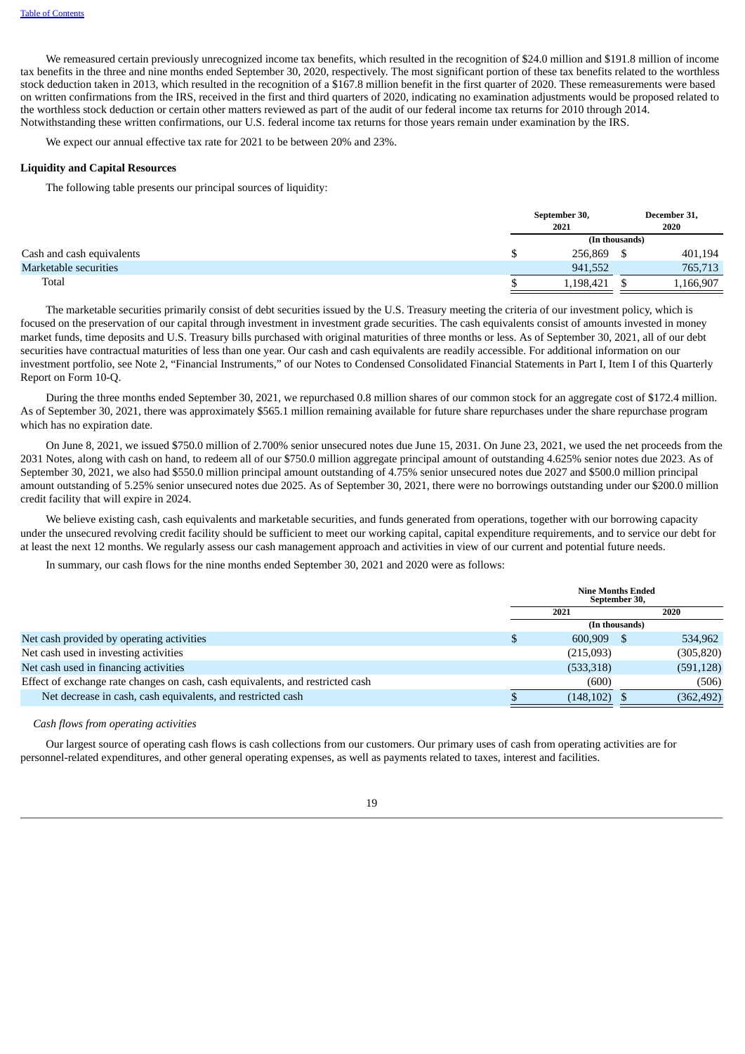We remeasured certain previously unrecognized income tax benefits, which resulted in the recognition of \$24.0 million and \$191.8 million of income tax benefits in the three and nine months ended September 30, 2020, respectively. The most significant portion of these tax benefits related to the worthless stock deduction taken in 2013, which resulted in the recognition of a \$167.8 million benefit in the first quarter of 2020. These remeasurements were based on written confirmations from the IRS, received in the first and third quarters of 2020, indicating no examination adjustments would be proposed related to the worthless stock deduction or certain other matters reviewed as part of the audit of our federal income tax returns for 2010 through 2014. Notwithstanding these written confirmations, our U.S. federal income tax returns for those years remain under examination by the IRS.

We expect our annual effective tax rate for 2021 to be between 20% and 23%.

#### **Liquidity and Capital Resources**

The following table presents our principal sources of liquidity:

|                           |    | September 30, |                | December 31, |
|---------------------------|----|---------------|----------------|--------------|
|                           |    | 2021          |                | 2020         |
|                           |    |               | (In thousands) |              |
| Cash and cash equivalents | ۵D | 256.869       |                | 401,194      |
| Marketable securities     |    | 941,552       |                | 765,713      |
| Total                     |    | 1,198,421     |                | 1,166,907    |

The marketable securities primarily consist of debt securities issued by the U.S. Treasury meeting the criteria of our investment policy, which is focused on the preservation of our capital through investment in investment grade securities. The cash equivalents consist of amounts invested in money market funds, time deposits and U.S. Treasury bills purchased with original maturities of three months or less. As of September 30, 2021, all of our debt securities have contractual maturities of less than one year. Our cash and cash equivalents are readily accessible. For additional information on our investment portfolio, see Note 2, "Financial Instruments," of our Notes to Condensed Consolidated Financial Statements in Part I, Item I of this Quarterly Report on Form 10-Q.

During the three months ended September 30, 2021, we repurchased 0.8 million shares of our common stock for an aggregate cost of \$172.4 million. As of September 30, 2021, there was approximately \$565.1 million remaining available for future share repurchases under the share repurchase program which has no expiration date.

On June 8, 2021, we issued \$750.0 million of 2.700% senior unsecured notes due June 15, 2031. On June 23, 2021, we used the net proceeds from the 2031 Notes, along with cash on hand, to redeem all of our \$750.0 million aggregate principal amount of outstanding 4.625% senior notes due 2023. As of September 30, 2021, we also had \$550.0 million principal amount outstanding of 4.75% senior unsecured notes due 2027 and \$500.0 million principal amount outstanding of 5.25% senior unsecured notes due 2025. As of September 30, 2021, there were no borrowings outstanding under our \$200.0 million credit facility that will expire in 2024.

We believe existing cash, cash equivalents and marketable securities, and funds generated from operations, together with our borrowing capacity under the unsecured revolving credit facility should be sufficient to meet our working capital, capital expenditure requirements, and to service our debt for at least the next 12 months. We regularly assess our cash management approach and activities in view of our current and potential future needs.

In summary, our cash flows for the nine months ended September 30, 2021 and 2020 were as follows:

|                                                                                | <b>Nine Months Ended</b><br>September 30, |                |  |            |  |  |
|--------------------------------------------------------------------------------|-------------------------------------------|----------------|--|------------|--|--|
|                                                                                |                                           | 2021           |  | 2020       |  |  |
|                                                                                |                                           | (In thousands) |  |            |  |  |
| Net cash provided by operating activities                                      | D                                         | 600,909        |  | 534,962    |  |  |
| Net cash used in investing activities                                          |                                           | (215,093)      |  | (305, 820) |  |  |
| Net cash used in financing activities                                          |                                           | (533,318)      |  | (591, 128) |  |  |
| Effect of exchange rate changes on cash, cash equivalents, and restricted cash |                                           | (600)          |  | (506)      |  |  |
| Net decrease in cash, cash equivalents, and restricted cash                    |                                           | (148, 102)     |  | (362, 492) |  |  |
|                                                                                |                                           |                |  |            |  |  |

## *Cash flows from operating activities*

Our largest source of operating cash flows is cash collections from our customers. Our primary uses of cash from operating activities are for personnel-related expenditures, and other general operating expenses, as well as payments related to taxes, interest and facilities.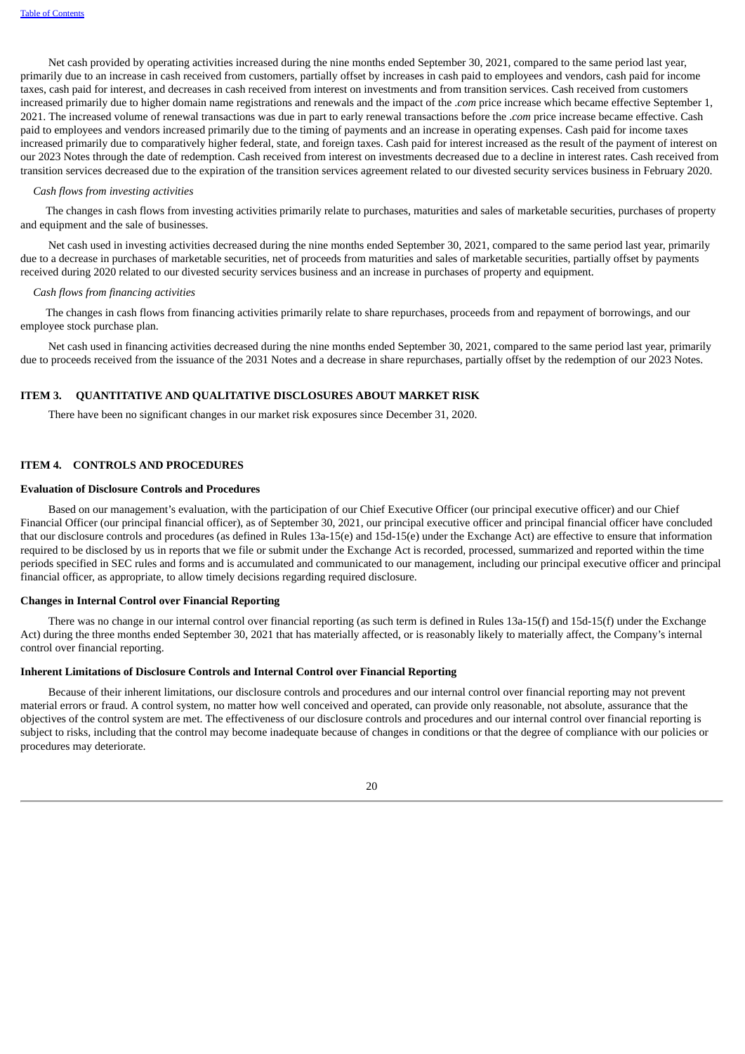Net cash provided by operating activities increased during the nine months ended September 30, 2021, compared to the same period last year, primarily due to an increase in cash received from customers, partially offset by increases in cash paid to employees and vendors, cash paid for income taxes, cash paid for interest, and decreases in cash received from interest on investments and from transition services. Cash received from customers increased primarily due to higher domain name registrations and renewals and the impact of the .*com* price increase which became effective September 1, 2021. The increased volume of renewal transactions was due in part to early renewal transactions before the .*com* price increase became effective. Cash paid to employees and vendors increased primarily due to the timing of payments and an increase in operating expenses. Cash paid for income taxes increased primarily due to comparatively higher federal, state, and foreign taxes. Cash paid for interest increased as the result of the payment of interest on our 2023 Notes through the date of redemption. Cash received from interest on investments decreased due to a decline in interest rates. Cash received from transition services decreased due to the expiration of the transition services agreement related to our divested security services business in February 2020.

## *Cash flows from investing activities*

The changes in cash flows from investing activities primarily relate to purchases, maturities and sales of marketable securities, purchases of property and equipment and the sale of businesses.

Net cash used in investing activities decreased during the nine months ended September 30, 2021, compared to the same period last year, primarily due to a decrease in purchases of marketable securities, net of proceeds from maturities and sales of marketable securities, partially offset by payments received during 2020 related to our divested security services business and an increase in purchases of property and equipment.

#### *Cash flows from financing activities*

The changes in cash flows from financing activities primarily relate to share repurchases, proceeds from and repayment of borrowings, and our employee stock purchase plan.

Net cash used in financing activities decreased during the nine months ended September 30, 2021, compared to the same period last year, primarily due to proceeds received from the issuance of the 2031 Notes and a decrease in share repurchases, partially offset by the redemption of our 2023 Notes.

## <span id="page-19-0"></span>**ITEM 3. QUANTITATIVE AND QUALITATIVE DISCLOSURES ABOUT MARKET RISK**

There have been no significant changes in our market risk exposures since December 31, 2020.

## <span id="page-19-1"></span>**ITEM 4. CONTROLS AND PROCEDURES**

## **Evaluation of Disclosure Controls and Procedures**

Based on our management's evaluation, with the participation of our Chief Executive Officer (our principal executive officer) and our Chief Financial Officer (our principal financial officer), as of September 30, 2021, our principal executive officer and principal financial officer have concluded that our disclosure controls and procedures (as defined in Rules 13a-15(e) and 15d-15(e) under the Exchange Act) are effective to ensure that information required to be disclosed by us in reports that we file or submit under the Exchange Act is recorded, processed, summarized and reported within the time periods specified in SEC rules and forms and is accumulated and communicated to our management, including our principal executive officer and principal financial officer, as appropriate, to allow timely decisions regarding required disclosure.

## **Changes in Internal Control over Financial Reporting**

There was no change in our internal control over financial reporting (as such term is defined in Rules 13a-15(f) and 15d-15(f) under the Exchange Act) during the three months ended September 30, 2021 that has materially affected, or is reasonably likely to materially affect, the Company's internal control over financial reporting.

## **Inherent Limitations of Disclosure Controls and Internal Control over Financial Reporting**

<span id="page-19-2"></span>Because of their inherent limitations, our disclosure controls and procedures and our internal control over financial reporting may not prevent material errors or fraud. A control system, no matter how well conceived and operated, can provide only reasonable, not absolute, assurance that the objectives of the control system are met. The effectiveness of our disclosure controls and procedures and our internal control over financial reporting is subject to risks, including that the control may become inadequate because of changes in conditions or that the degree of compliance with our policies or procedures may deteriorate.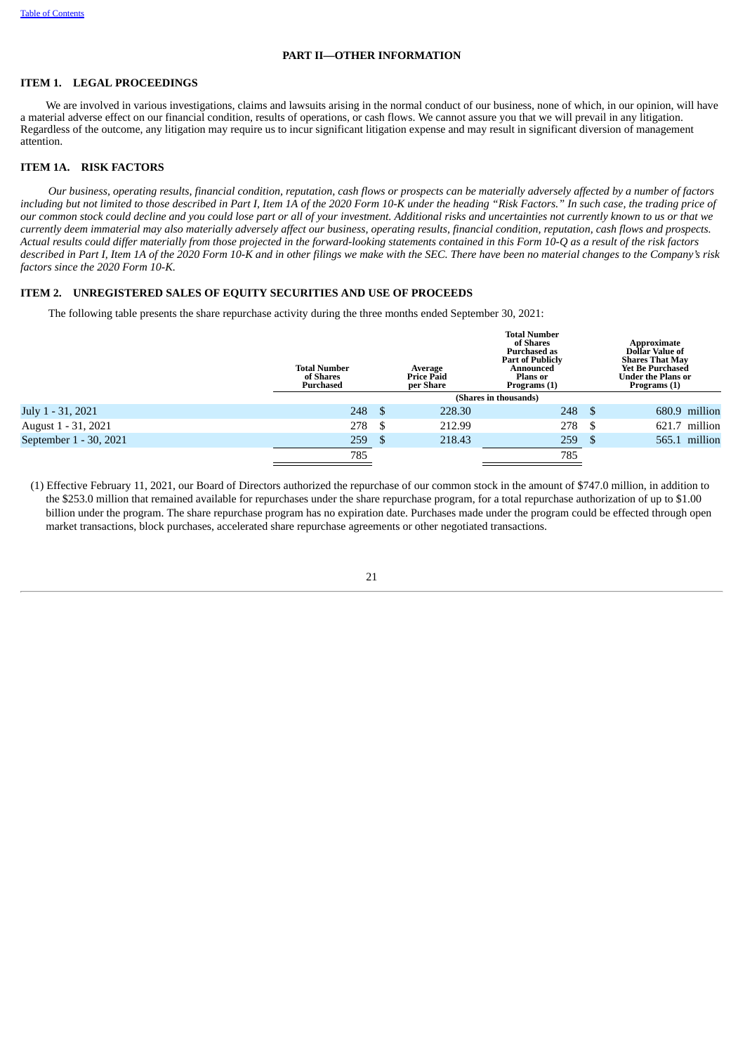#### **PART II—OTHER INFORMATION**

## <span id="page-20-0"></span>**ITEM 1. LEGAL PROCEEDINGS**

We are involved in various investigations, claims and lawsuits arising in the normal conduct of our business, none of which, in our opinion, will have a material adverse effect on our financial condition, results of operations, or cash flows. We cannot assure you that we will prevail in any litigation. Regardless of the outcome, any litigation may require us to incur significant litigation expense and may result in significant diversion of management attention.

## <span id="page-20-1"></span>**ITEM 1A. RISK FACTORS**

Our business, operating results, financial condition, reputation, cash flows or prospects can be materially adversely affected by a number of factors including but not limited to those described in Part I, Item 1A of the 2020 Form 10-K under the heading "Risk Factors." In such case, the trading price of our common stock could decline and you could lose part or all of your investment. Additional risks and uncertainties not currently known to us or that we currently deem immaterial may also materially adversely affect our business, operating results, financial condition, reputation, cash flows and prospects. Actual results could differ materially from those projected in the forward-looking statements contained in this Form 10-Q as a result of the risk factors described in Part I, Item 1A of the 2020 Form 10-K and in other filings we make with the SEC. There have been no material changes to the Company's risk *factors since the 2020 Form 10-K.*

## <span id="page-20-2"></span>**ITEM 2. UNREGISTERED SALES OF EQUITY SECURITIES AND USE OF PROCEEDS**

The following table presents the share repurchase activity during the three months ended September 30, 2021:

|                        | <b>Total Number</b><br>of Shares<br>Purchased | Average<br><b>Price Paid</b><br>per Share | <b>Total Number</b><br>of Shares<br>Purchased as<br><b>Part of Publicly</b><br>Announced<br><b>Plans</b> or<br>Programs (1) |                       | Approximate<br>Dollar Value of<br><b>Shares That May</b><br><b>Yet Be Purchased</b><br>Under the Plans or<br>Programs (1) |               |
|------------------------|-----------------------------------------------|-------------------------------------------|-----------------------------------------------------------------------------------------------------------------------------|-----------------------|---------------------------------------------------------------------------------------------------------------------------|---------------|
|                        |                                               |                                           |                                                                                                                             | (Shares in thousands) |                                                                                                                           |               |
| July 1 - 31, 2021      | 248                                           | - S                                       | 228.30                                                                                                                      | 248                   | - \$                                                                                                                      | 680.9 million |
| August 1 - 31, 2021    | 278                                           | - \$                                      | 212.99                                                                                                                      | 278                   | - \$                                                                                                                      | 621.7 million |
| September 1 - 30, 2021 | 259                                           | -\$                                       | 218.43                                                                                                                      | 259                   | - \$                                                                                                                      | 565.1 million |
|                        | 785                                           |                                           |                                                                                                                             | 785                   |                                                                                                                           |               |

<span id="page-20-3"></span>(1) Effective February 11, 2021, our Board of Directors authorized the repurchase of our common stock in the amount of \$747.0 million, in addition to the \$253.0 million that remained available for repurchases under the share repurchase program, for a total repurchase authorization of up to \$1.00 billion under the program. The share repurchase program has no expiration date. Purchases made under the program could be effected through open market transactions, block purchases, accelerated share repurchase agreements or other negotiated transactions.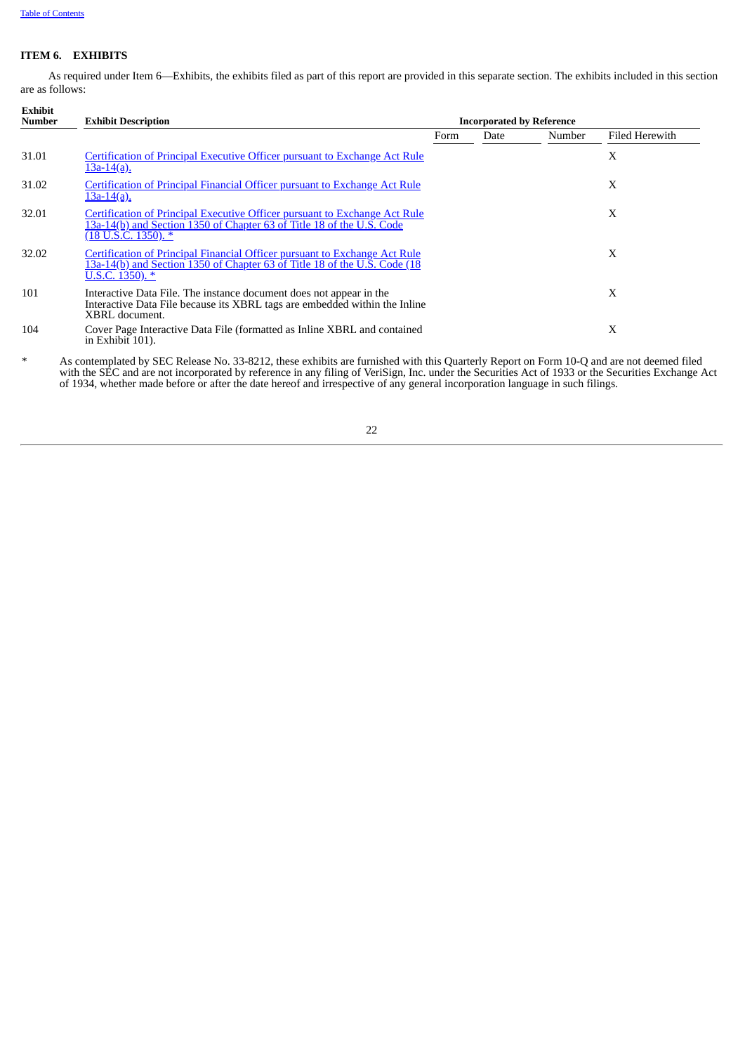## **ITEM 6. EXHIBITS**

As required under Item 6—Exhibits, the exhibits filed as part of this report are provided in this separate section. The exhibits included in this section are as follows:

| <b>Exhibit</b><br>Number | <b>Exhibit Description</b>                                                                                                                                                             |      | <b>Incorporated by Reference</b> |        |                       |
|--------------------------|----------------------------------------------------------------------------------------------------------------------------------------------------------------------------------------|------|----------------------------------|--------|-----------------------|
|                          |                                                                                                                                                                                        | Form | Date                             | Number | <b>Filed Herewith</b> |
| 31.01                    | <b>Certification of Principal Executive Officer pursuant to Exchange Act Rule</b><br>$13a-14(a)$ .                                                                                     |      |                                  |        | X                     |
| 31.02                    | Certification of Principal Financial Officer pursuant to Exchange Act Rule<br>$13a-14(a)$ .                                                                                            |      |                                  |        | X                     |
| 32.01                    | Certification of Principal Executive Officer pursuant to Exchange Act Rule<br>13a-14(b) and Section 1350 of Chapter 63 of Title 18 of the U.S. Code<br>$(18 \text{ U.S.C. } 1350)$ . * |      |                                  |        | X                     |
| 32.02                    | Certification of Principal Financial Officer pursuant to Exchange Act Rule<br>13a-14(b) and Section 1350 of Chapter 63 of Title 18 of the U.S. Code (18)<br>$U.S.C. 1350$ ). $*$       |      |                                  |        | X                     |
| 101                      | Interactive Data File. The instance document does not appear in the<br>Interactive Data File because its XBRL tags are embedded within the Inline<br>XBRL document.                    |      |                                  |        | X                     |
| 104                      | Cover Page Interactive Data File (formatted as Inline XBRL and contained<br>in Exhibit 101).                                                                                           |      |                                  |        | X                     |

<span id="page-21-0"></span>\* As contemplated by SEC Release No. 33-8212, these exhibits are furnished with this Quarterly Report on Form 10-Q and are not deemed filed with the SEC and are not incorporated by reference in any filing of VeriSign, Inc. under the Securities Act of 1933 or the Securities Exchange Act of 1934, whether made before or after the date hereof and irrespective of any general incorporation language in such filings.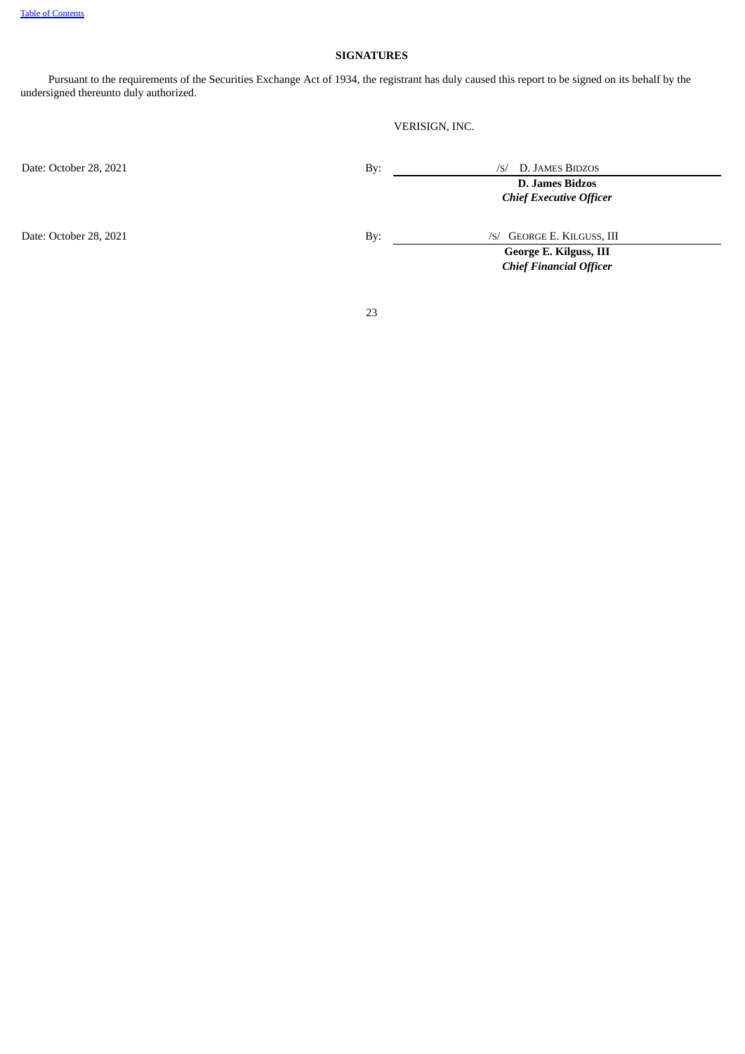## **SIGNATURES**

Pursuant to the requirements of the Securities Exchange Act of 1934, the registrant has duly caused this report to be signed on its behalf by the undersigned thereunto duly authorized.

VERISIGN, INC.

Date: October 28, 2021 By: /S/ D. JAMES BIDZOS **D. James Bidzos** *Chief Executive Officer* Date: October 28, 2021 By: /S/ GEORGE E. KILGUSS, III **George E. Kilguss, III** *Chief Financial Officer*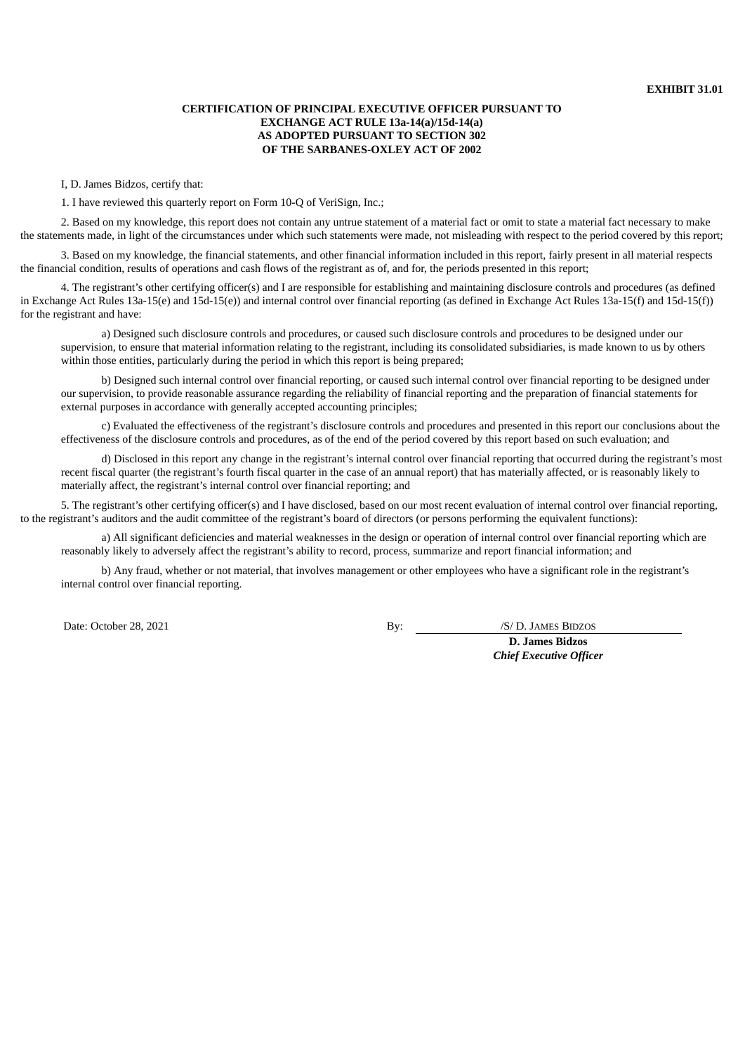## **CERTIFICATION OF PRINCIPAL EXECUTIVE OFFICER PURSUANT TO EXCHANGE ACT RULE 13a-14(a)/15d-14(a) AS ADOPTED PURSUANT TO SECTION 302 OF THE SARBANES-OXLEY ACT OF 2002**

<span id="page-23-0"></span>I, D. James Bidzos, certify that:

1. I have reviewed this quarterly report on Form 10-Q of VeriSign, Inc.;

2. Based on my knowledge, this report does not contain any untrue statement of a material fact or omit to state a material fact necessary to make the statements made, in light of the circumstances under which such statements were made, not misleading with respect to the period covered by this report;

3. Based on my knowledge, the financial statements, and other financial information included in this report, fairly present in all material respects the financial condition, results of operations and cash flows of the registrant as of, and for, the periods presented in this report;

4. The registrant's other certifying officer(s) and I are responsible for establishing and maintaining disclosure controls and procedures (as defined in Exchange Act Rules 13a-15(e) and 15d-15(e)) and internal control over financial reporting (as defined in Exchange Act Rules 13a-15(f) and 15d-15(f)) for the registrant and have:

a) Designed such disclosure controls and procedures, or caused such disclosure controls and procedures to be designed under our supervision, to ensure that material information relating to the registrant, including its consolidated subsidiaries, is made known to us by others within those entities, particularly during the period in which this report is being prepared;

b) Designed such internal control over financial reporting, or caused such internal control over financial reporting to be designed under our supervision, to provide reasonable assurance regarding the reliability of financial reporting and the preparation of financial statements for external purposes in accordance with generally accepted accounting principles;

c) Evaluated the effectiveness of the registrant's disclosure controls and procedures and presented in this report our conclusions about the effectiveness of the disclosure controls and procedures, as of the end of the period covered by this report based on such evaluation; and

d) Disclosed in this report any change in the registrant's internal control over financial reporting that occurred during the registrant's most recent fiscal quarter (the registrant's fourth fiscal quarter in the case of an annual report) that has materially affected, or is reasonably likely to materially affect, the registrant's internal control over financial reporting; and

5. The registrant's other certifying officer(s) and I have disclosed, based on our most recent evaluation of internal control over financial reporting, to the registrant's auditors and the audit committee of the registrant's board of directors (or persons performing the equivalent functions):

a) All significant deficiencies and material weaknesses in the design or operation of internal control over financial reporting which are reasonably likely to adversely affect the registrant's ability to record, process, summarize and report financial information; and

b) Any fraud, whether or not material, that involves management or other employees who have a significant role in the registrant's internal control over financial reporting.

Date: October 28, 2021 By: /S/ D. JAMES BIDZOS

**D. James Bidzos** *Chief Executive Officer*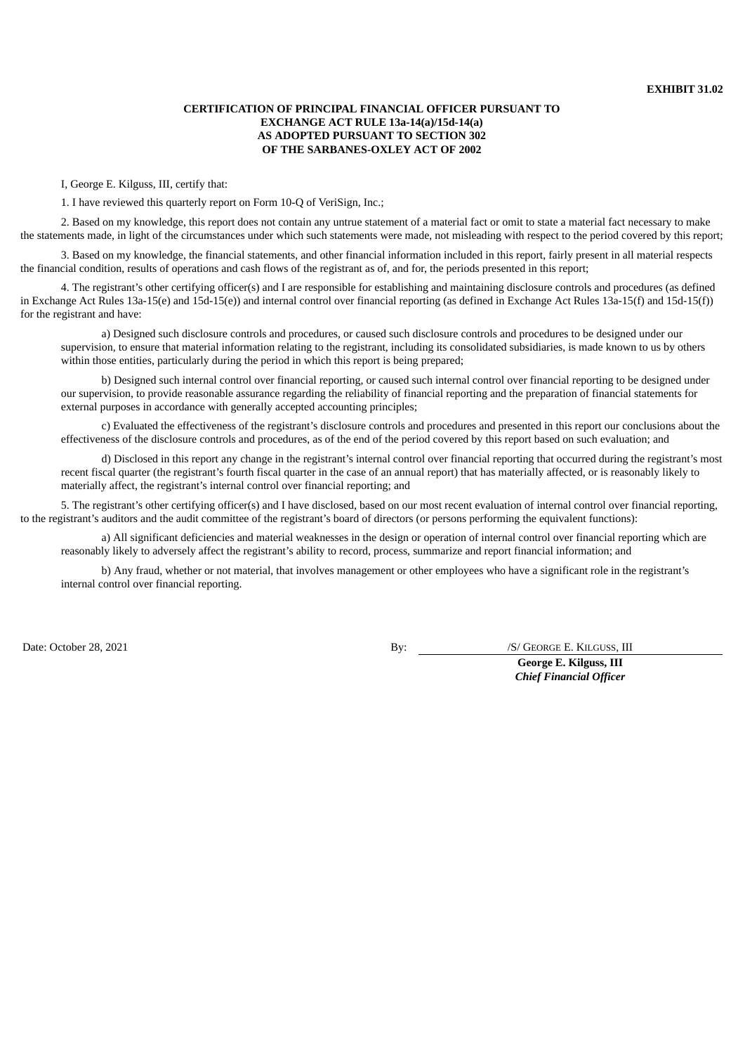## **CERTIFICATION OF PRINCIPAL FINANCIAL OFFICER PURSUANT TO EXCHANGE ACT RULE 13a-14(a)/15d-14(a) AS ADOPTED PURSUANT TO SECTION 302 OF THE SARBANES-OXLEY ACT OF 2002**

<span id="page-24-0"></span>I, George E. Kilguss, III, certify that:

1. I have reviewed this quarterly report on Form 10-Q of VeriSign, Inc.;

2. Based on my knowledge, this report does not contain any untrue statement of a material fact or omit to state a material fact necessary to make the statements made, in light of the circumstances under which such statements were made, not misleading with respect to the period covered by this report;

3. Based on my knowledge, the financial statements, and other financial information included in this report, fairly present in all material respects the financial condition, results of operations and cash flows of the registrant as of, and for, the periods presented in this report;

4. The registrant's other certifying officer(s) and I are responsible for establishing and maintaining disclosure controls and procedures (as defined in Exchange Act Rules 13a-15(e) and 15d-15(e)) and internal control over financial reporting (as defined in Exchange Act Rules 13a-15(f) and 15d-15(f)) for the registrant and have:

a) Designed such disclosure controls and procedures, or caused such disclosure controls and procedures to be designed under our supervision, to ensure that material information relating to the registrant, including its consolidated subsidiaries, is made known to us by others within those entities, particularly during the period in which this report is being prepared;

b) Designed such internal control over financial reporting, or caused such internal control over financial reporting to be designed under our supervision, to provide reasonable assurance regarding the reliability of financial reporting and the preparation of financial statements for external purposes in accordance with generally accepted accounting principles;

c) Evaluated the effectiveness of the registrant's disclosure controls and procedures and presented in this report our conclusions about the effectiveness of the disclosure controls and procedures, as of the end of the period covered by this report based on such evaluation; and

d) Disclosed in this report any change in the registrant's internal control over financial reporting that occurred during the registrant's most recent fiscal quarter (the registrant's fourth fiscal quarter in the case of an annual report) that has materially affected, or is reasonably likely to materially affect, the registrant's internal control over financial reporting; and

5. The registrant's other certifying officer(s) and I have disclosed, based on our most recent evaluation of internal control over financial reporting, to the registrant's auditors and the audit committee of the registrant's board of directors (or persons performing the equivalent functions):

a) All significant deficiencies and material weaknesses in the design or operation of internal control over financial reporting which are reasonably likely to adversely affect the registrant's ability to record, process, summarize and report financial information; and

b) Any fraud, whether or not material, that involves management or other employees who have a significant role in the registrant's internal control over financial reporting.

Date: October 28, 2021 **By:** /S/ GEORGE E. KILGUSS, III

**George E. Kilguss, III** *Chief Financial Officer*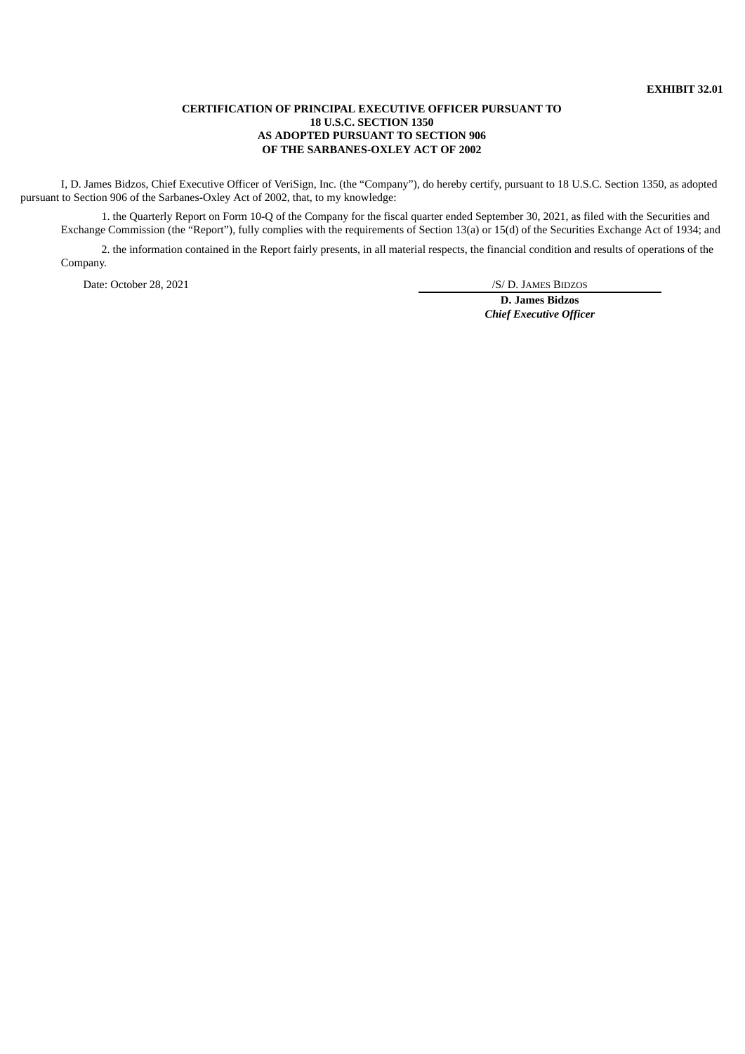## **CERTIFICATION OF PRINCIPAL EXECUTIVE OFFICER PURSUANT TO 18 U.S.C. SECTION 1350 AS ADOPTED PURSUANT TO SECTION 906 OF THE SARBANES-OXLEY ACT OF 2002**

<span id="page-25-0"></span>I, D. James Bidzos, Chief Executive Officer of VeriSign, Inc. (the "Company"), do hereby certify, pursuant to 18 U.S.C. Section 1350, as adopted pursuant to Section 906 of the Sarbanes-Oxley Act of 2002, that, to my knowledge:

1. the Quarterly Report on Form 10-Q of the Company for the fiscal quarter ended September 30, 2021, as filed with the Securities and Exchange Commission (the "Report"), fully complies with the requirements of Section 13(a) or 15(d) of the Securities Exchange Act of 1934; and

2. the information contained in the Report fairly presents, in all material respects, the financial condition and results of operations of the Company.

Date: October 28, 2021 /S/ D. JAMES BIDZOS

**D. James Bidzos** *Chief Executive Officer*